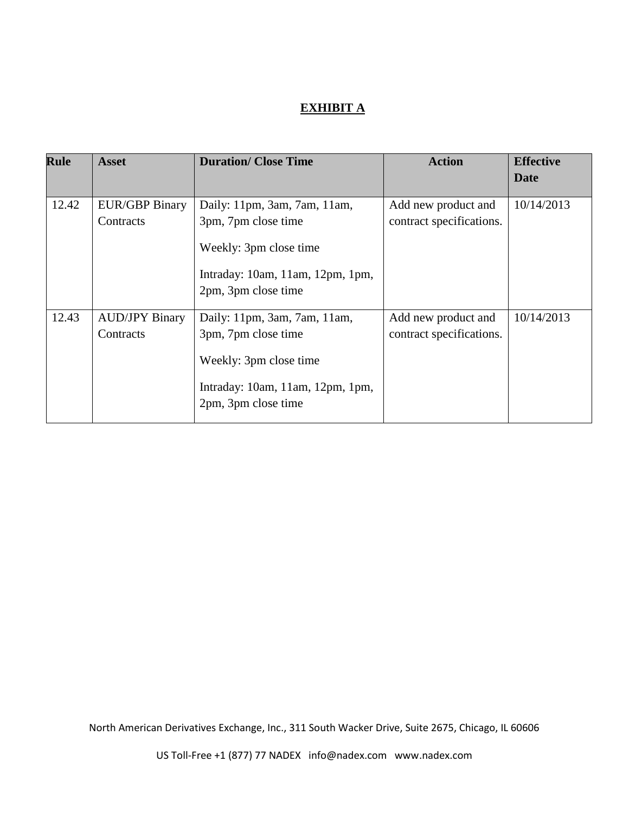# **EXHIBIT A**

| <b>Rule</b> | <b>Asset</b>                       | <b>Duration/Close Time</b>                                                                                                               | <b>Action</b>                                   | <b>Effective</b> |
|-------------|------------------------------------|------------------------------------------------------------------------------------------------------------------------------------------|-------------------------------------------------|------------------|
|             |                                    |                                                                                                                                          |                                                 | <b>Date</b>      |
| 12.42       | <b>EUR/GBP Binary</b><br>Contracts | Daily: 11pm, 3am, 7am, 11am,<br>3pm, 7pm close time<br>Weekly: 3pm close time<br>Intraday: 10am, 11am, 12pm, 1pm,<br>2pm, 3pm close time | Add new product and<br>contract specifications. | 10/14/2013       |
| 12.43       | <b>AUD/JPY Binary</b><br>Contracts | Daily: 11pm, 3am, 7am, 11am,<br>3pm, 7pm close time<br>Weekly: 3pm close time<br>Intraday: 10am, 11am, 12pm, 1pm,<br>2pm, 3pm close time | Add new product and<br>contract specifications. | 10/14/2013       |

North American Derivatives Exchange, Inc., 311 South Wacker Drive, Suite 2675, Chicago, IL 60606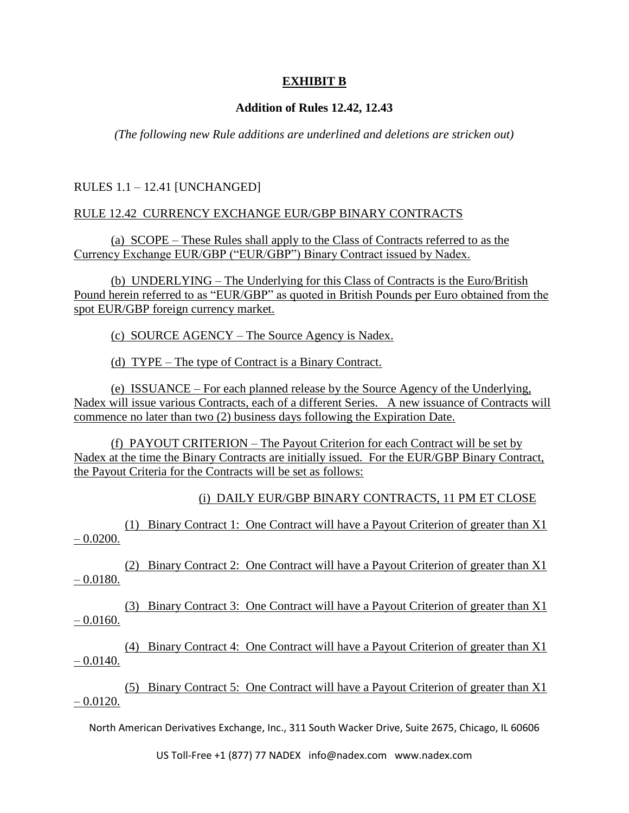## **EXHIBIT B**

### **Addition of Rules 12.42, 12.43**

*(The following new Rule additions are underlined and deletions are stricken out)*

RULES 1.1 – 12.41 [UNCHANGED]

#### RULE 12.42 CURRENCY EXCHANGE EUR/GBP BINARY CONTRACTS

(a) SCOPE – These Rules shall apply to the Class of Contracts referred to as the Currency Exchange EUR/GBP ("EUR/GBP") Binary Contract issued by Nadex.

(b) UNDERLYING – The Underlying for this Class of Contracts is the Euro/British Pound herein referred to as "EUR/GBP" as quoted in British Pounds per Euro obtained from the spot EUR/GBP foreign currency market.

(c) SOURCE AGENCY – The Source Agency is Nadex.

(d) TYPE – The type of Contract is a Binary Contract.

(e) ISSUANCE – For each planned release by the Source Agency of the Underlying, Nadex will issue various Contracts, each of a different Series. A new issuance of Contracts will commence no later than two (2) business days following the Expiration Date.

(f) PAYOUT CRITERION – The Payout Criterion for each Contract will be set by Nadex at the time the Binary Contracts are initially issued. For the EUR/GBP Binary Contract, the Payout Criteria for the Contracts will be set as follows:

(i) DAILY EUR/GBP BINARY CONTRACTS, 11 PM ET CLOSE

(1) Binary Contract 1: One Contract will have a Payout Criterion of greater than X1  $-0.0200$ .

(2) Binary Contract 2: One Contract will have a Payout Criterion of greater than X1  $-0.0180.$ 

(3) Binary Contract 3: One Contract will have a Payout Criterion of greater than X1  $-0.0160.$ 

(4) Binary Contract 4: One Contract will have a Payout Criterion of greater than X1  $- 0.0140.$ 

(5) Binary Contract 5: One Contract will have a Payout Criterion of greater than X1  $- 0.0120.$ 

North American Derivatives Exchange, Inc., 311 South Wacker Drive, Suite 2675, Chicago, IL 60606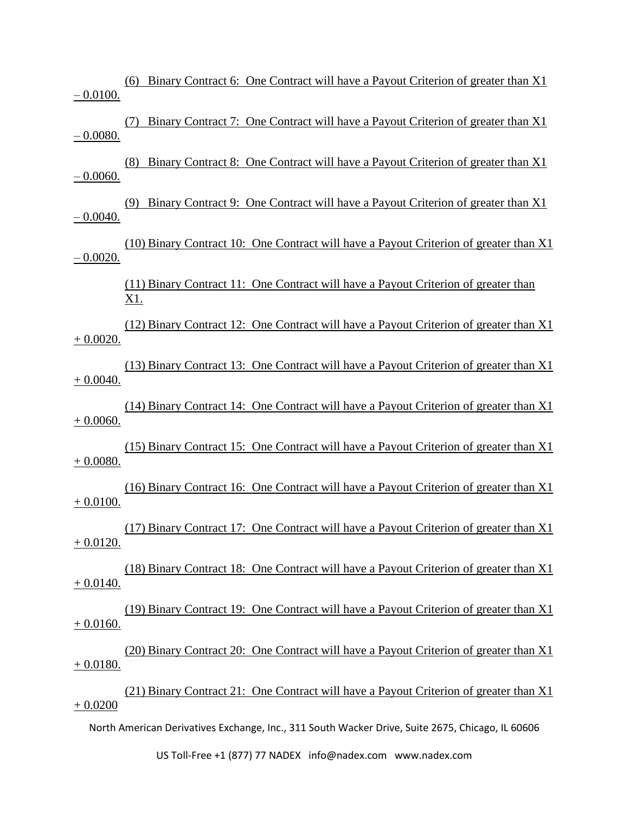(6) Binary Contract 6: One Contract will have a Payout Criterion of greater than X1  $-0.0100.$ 

(7) Binary Contract 7: One Contract will have a Payout Criterion of greater than X1 – 0.0080.

(8) Binary Contract 8: One Contract will have a Payout Criterion of greater than X1  $-0.0060$ .

(9) Binary Contract 9: One Contract will have a Payout Criterion of greater than X1  $-0.0040.$ 

(10) Binary Contract 10: One Contract will have a Payout Criterion of greater than X1  $-0.0020.$ 

> (11) Binary Contract 11: One Contract will have a Payout Criterion of greater than X1.

(12) Binary Contract 12: One Contract will have a Payout Criterion of greater than X1 + 0.0020.

(13) Binary Contract 13: One Contract will have a Payout Criterion of greater than X1  $+ 0.0040.$ 

(14) Binary Contract 14: One Contract will have a Payout Criterion of greater than X1  $+ 0.0060.$ 

(15) Binary Contract 15: One Contract will have a Payout Criterion of greater than X1 + 0.0080.

(16) Binary Contract 16: One Contract will have a Payout Criterion of greater than X1 + 0.0100.

(17) Binary Contract 17: One Contract will have a Payout Criterion of greater than X1 + 0.0120.

(18) Binary Contract 18: One Contract will have a Payout Criterion of greater than X1  $+ 0.0140.$ 

(19) Binary Contract 19: One Contract will have a Payout Criterion of greater than X1  $+ 0.0160.$ 

(20) Binary Contract 20: One Contract will have a Payout Criterion of greater than X1 + 0.0180.

(21) Binary Contract 21: One Contract will have a Payout Criterion of greater than X1  $+ 0.0200$ 

North American Derivatives Exchange, Inc., 311 South Wacker Drive, Suite 2675, Chicago, IL 60606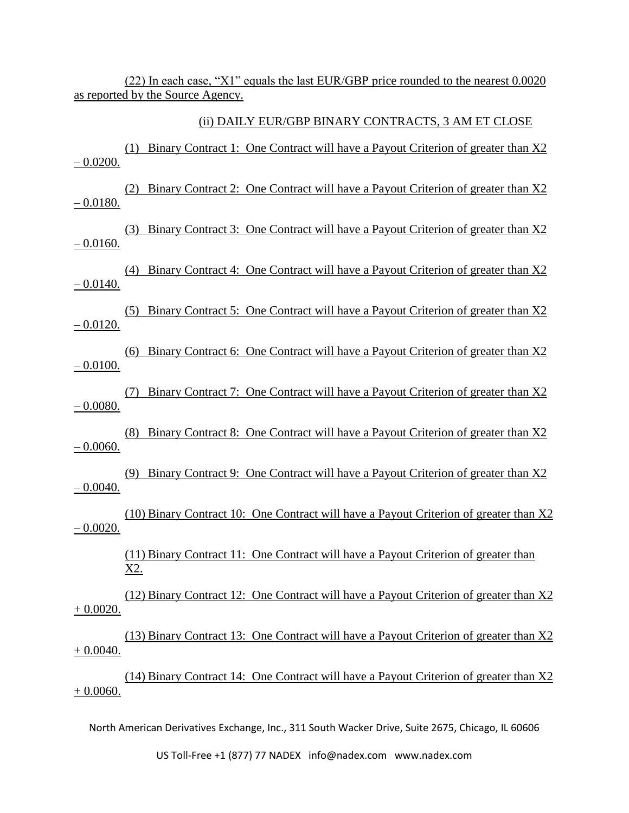(22) In each case, "X1" equals the last EUR/GBP price rounded to the nearest 0.0020 as reported by the Source Agency.

#### (ii) DAILY EUR/GBP BINARY CONTRACTS, 3 AM ET CLOSE

(1) Binary Contract 1: One Contract will have a Payout Criterion of greater than X2  $-0.0200.$ 

(2) Binary Contract 2: One Contract will have a Payout Criterion of greater than X2  $-0.0180.$ 

(3) Binary Contract 3: One Contract will have a Payout Criterion of greater than X2  $-0.0160.$ 

(4) Binary Contract 4: One Contract will have a Payout Criterion of greater than X2  $-0.0140.$ 

(5) Binary Contract 5: One Contract will have a Payout Criterion of greater than X2  $-0.0120.$ 

(6) Binary Contract 6: One Contract will have a Payout Criterion of greater than X2  $-0.0100$ .

(7) Binary Contract 7: One Contract will have a Payout Criterion of greater than X2 – 0.0080.

(8) Binary Contract 8: One Contract will have a Payout Criterion of greater than X2 – 0.0060.

(9) Binary Contract 9: One Contract will have a Payout Criterion of greater than X2  $- 0.0040.$ 

(10) Binary Contract 10: One Contract will have a Payout Criterion of greater than X2  $- 0.0020.$ 

> (11) Binary Contract 11: One Contract will have a Payout Criterion of greater than X2.

(12) Binary Contract 12: One Contract will have a Payout Criterion of greater than X2 + 0.0020.

(13) Binary Contract 13: One Contract will have a Payout Criterion of greater than X2  $+ 0.0040.$ 

(14) Binary Contract 14: One Contract will have a Payout Criterion of greater than X2  $+ 0.0060.$ 

North American Derivatives Exchange, Inc., 311 South Wacker Drive, Suite 2675, Chicago, IL 60606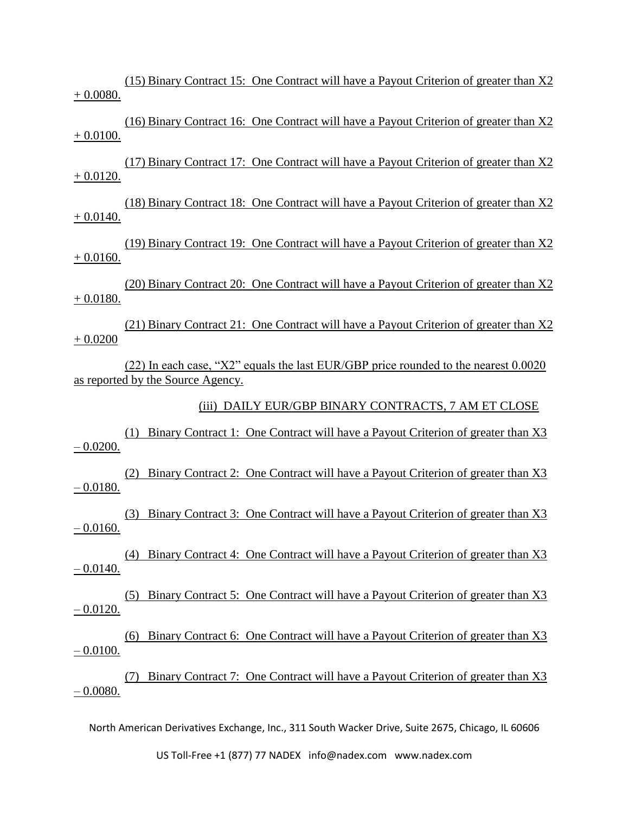(15) Binary Contract 15: One Contract will have a Payout Criterion of greater than X2 + 0.0080.

(16) Binary Contract 16: One Contract will have a Payout Criterion of greater than X2  $+ 0.0100.$ 

(17) Binary Contract 17: One Contract will have a Payout Criterion of greater than X2  $+ 0.0120.$ 

(18) Binary Contract 18: One Contract will have a Payout Criterion of greater than X2 + 0.0140.

(19) Binary Contract 19: One Contract will have a Payout Criterion of greater than X2  $+ 0.0160.$ 

(20) Binary Contract 20: One Contract will have a Payout Criterion of greater than X2 + 0.0180.

(21) Binary Contract 21: One Contract will have a Payout Criterion of greater than X2 + 0.0200

(22) In each case, "X2" equals the last EUR/GBP price rounded to the nearest 0.0020 as reported by the Source Agency.

(iii) DAILY EUR/GBP BINARY CONTRACTS, 7 AM ET CLOSE

(1) Binary Contract 1: One Contract will have a Payout Criterion of greater than X3  $-0.0200$ .

(2) Binary Contract 2: One Contract will have a Payout Criterion of greater than X3  $-0.0180.$ 

(3) Binary Contract 3: One Contract will have a Payout Criterion of greater than X3  $-0.0160$ .

(4) Binary Contract 4: One Contract will have a Payout Criterion of greater than X3  $-0.0140.$ 

(5) Binary Contract 5: One Contract will have a Payout Criterion of greater than X3  $-0.0120$ .

(6) Binary Contract 6: One Contract will have a Payout Criterion of greater than X3  $-0.0100.$ 

(7) Binary Contract 7: One Contract will have a Payout Criterion of greater than X3 – 0.0080.

North American Derivatives Exchange, Inc., 311 South Wacker Drive, Suite 2675, Chicago, IL 60606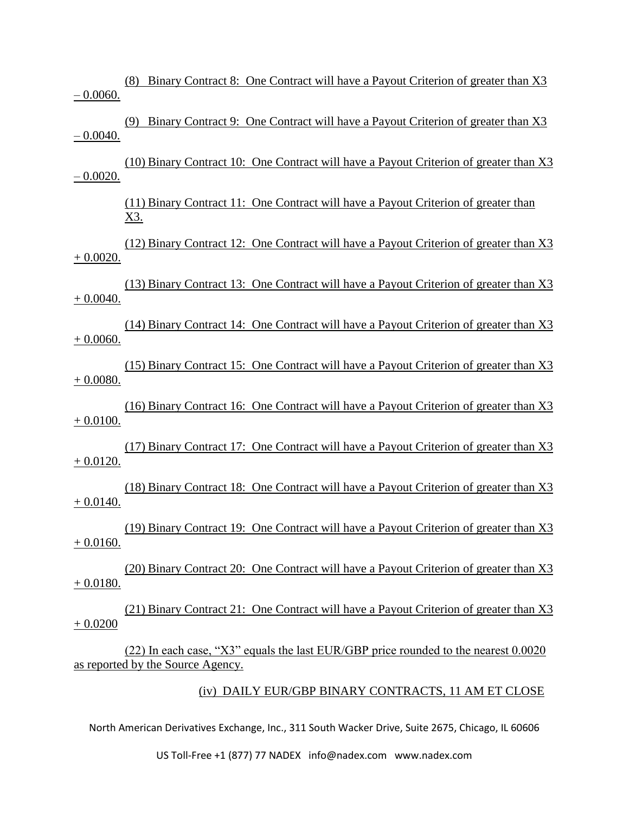(8) Binary Contract 8: One Contract will have a Payout Criterion of greater than X3 – 0.0060.

(9) Binary Contract 9: One Contract will have a Payout Criterion of greater than X3  $-0.0040.$ 

(10) Binary Contract 10: One Contract will have a Payout Criterion of greater than X3  $-0.0020$ .

> (11) Binary Contract 11: One Contract will have a Payout Criterion of greater than X3.

(12) Binary Contract 12: One Contract will have a Payout Criterion of greater than X3 + 0.0020.

(13) Binary Contract 13: One Contract will have a Payout Criterion of greater than X3 + 0.0040.

(14) Binary Contract 14: One Contract will have a Payout Criterion of greater than X3  $+ 0.0060.$ 

(15) Binary Contract 15: One Contract will have a Payout Criterion of greater than X3  $+ 0.0080.$ 

(16) Binary Contract 16: One Contract will have a Payout Criterion of greater than X3  $+ 0.0100.$ 

(17) Binary Contract 17: One Contract will have a Payout Criterion of greater than X3 + 0.0120.

(18) Binary Contract 18: One Contract will have a Payout Criterion of greater than X3  $+ 0.0140.$ 

(19) Binary Contract 19: One Contract will have a Payout Criterion of greater than X3  $+ 0.0160.$ 

(20) Binary Contract 20: One Contract will have a Payout Criterion of greater than X3  $+ 0.0180.$ 

(21) Binary Contract 21: One Contract will have a Payout Criterion of greater than X3 + 0.0200

(22) In each case, "X3" equals the last EUR/GBP price rounded to the nearest 0.0020 as reported by the Source Agency.

(iv) DAILY EUR/GBP BINARY CONTRACTS, 11 AM ET CLOSE

North American Derivatives Exchange, Inc., 311 South Wacker Drive, Suite 2675, Chicago, IL 60606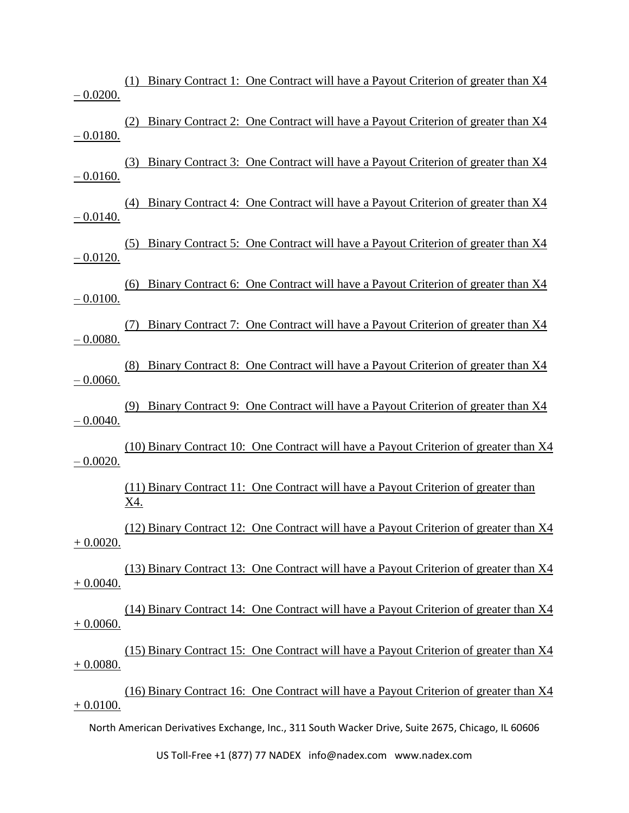(1) Binary Contract 1: One Contract will have a Payout Criterion of greater than X4  $-0.0200$ .

(2) Binary Contract 2: One Contract will have a Payout Criterion of greater than X4  $-0.0180.$ 

(3) Binary Contract 3: One Contract will have a Payout Criterion of greater than X4  $-0.0160.$ 

(4) Binary Contract 4: One Contract will have a Payout Criterion of greater than X4  $-0.0140.$ 

(5) Binary Contract 5: One Contract will have a Payout Criterion of greater than X4  $-0.0120.$ 

(6) Binary Contract 6: One Contract will have a Payout Criterion of greater than X4  $-0.0100.$ 

(7) Binary Contract 7: One Contract will have a Payout Criterion of greater than X4 – 0.0080.

(8) Binary Contract 8: One Contract will have a Payout Criterion of greater than X4  $-0.0060$ .

(9) Binary Contract 9: One Contract will have a Payout Criterion of greater than X4  $- 0.0040.$ 

(10) Binary Contract 10: One Contract will have a Payout Criterion of greater than X4  $-0.0020.$ 

(11) Binary Contract 11: One Contract will have a Payout Criterion of greater than X4.

(12) Binary Contract 12: One Contract will have a Payout Criterion of greater than X4  $+ 0.0020.$ 

(13) Binary Contract 13: One Contract will have a Payout Criterion of greater than X4  $+ 0.0040.$ 

(14) Binary Contract 14: One Contract will have a Payout Criterion of greater than X4 + 0.0060.

(15) Binary Contract 15: One Contract will have a Payout Criterion of greater than X4 + 0.0080.

(16) Binary Contract 16: One Contract will have a Payout Criterion of greater than X4  $+ 0.0100.$ 

North American Derivatives Exchange, Inc., 311 South Wacker Drive, Suite 2675, Chicago, IL 60606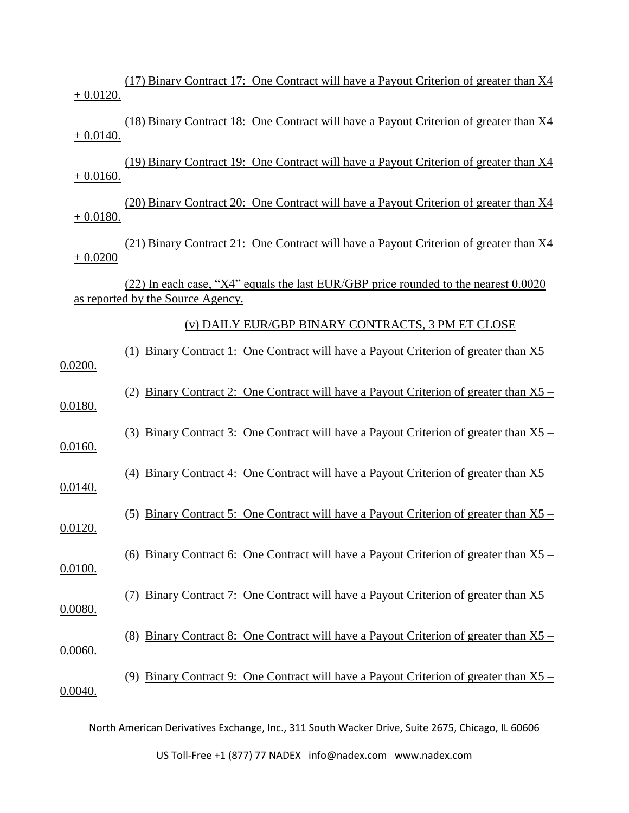(17) Binary Contract 17: One Contract will have a Payout Criterion of greater than X4  $+ 0.0120.$ 

(18) Binary Contract 18: One Contract will have a Payout Criterion of greater than X4  $+ 0.0140.$ 

(19) Binary Contract 19: One Contract will have a Payout Criterion of greater than X4  $+ 0.0160.$ 

(20) Binary Contract 20: One Contract will have a Payout Criterion of greater than X4  $+ 0.0180.$ 

(21) Binary Contract 21: One Contract will have a Payout Criterion of greater than X4 + 0.0200

(22) In each case, "X4" equals the last EUR/GBP price rounded to the nearest 0.0020 as reported by the Source Agency.

#### (v) DAILY EUR/GBP BINARY CONTRACTS, 3 PM ET CLOSE

| 0.0200. | (1) Binary Contract 1: One Contract will have a Payout Criterion of greater than $X5$ –         |
|---------|-------------------------------------------------------------------------------------------------|
| 0.0180. | <u>Binary Contract 2: One Contract will have a Payout Criterion of greater than X5 –</u><br>(2) |
| 0.0160. | Binary Contract 3: One Contract will have a Payout Criterion of greater than X5 –<br>(3)        |
| 0.0140. | Binary Contract 4: One Contract will have a Payout Criterion of greater than X5 –<br>(4)        |
| 0.0120. | Binary Contract 5: One Contract will have a Payout Criterion of greater than $X5$ –<br>(5)      |
| 0.0100. | (6) Binary Contract 6: One Contract will have a Payout Criterion of greater than $X5$ –         |
| 0.0080. | <u>Binary Contract 7: One Contract will have a Payout Criterion of greater than X5 –</u>        |
| 0.0060. | Binary Contract 8: One Contract will have a Payout Criterion of greater than X5 –<br>(8)        |
| 0.0040. | Binary Contract 9: One Contract will have a Payout Criterion of greater than $X5$ –<br>(9)      |
|         |                                                                                                 |

North American Derivatives Exchange, Inc., 311 South Wacker Drive, Suite 2675, Chicago, IL 60606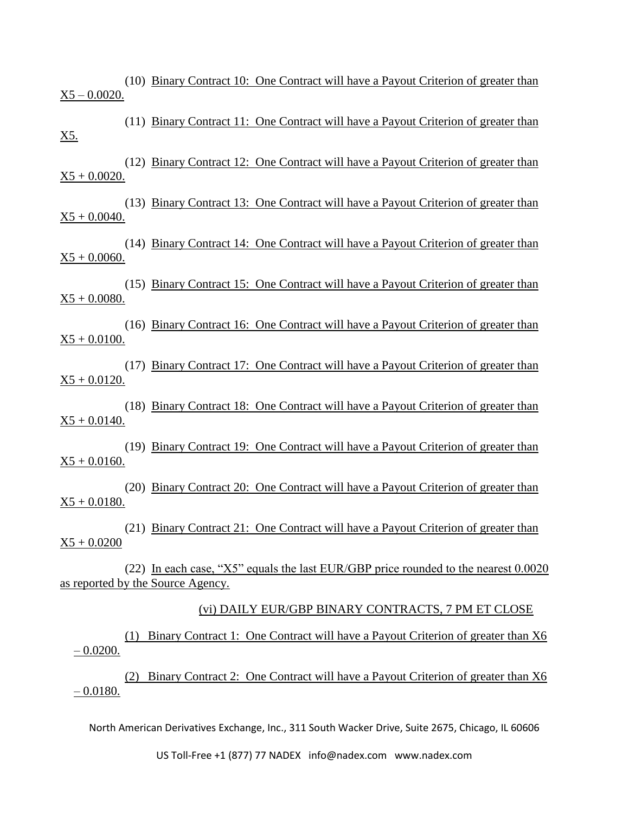(10) Binary Contract 10: One Contract will have a Payout Criterion of greater than  $X5 - 0.0020$ .

(11) Binary Contract 11: One Contract will have a Payout Criterion of greater than X5.

(12) Binary Contract 12: One Contract will have a Payout Criterion of greater than  $X5 + 0.0020$ .

(13) Binary Contract 13: One Contract will have a Payout Criterion of greater than  $X5 + 0.0040$ .

(14) Binary Contract 14: One Contract will have a Payout Criterion of greater than  $X5 + 0.0060$ .

(15) Binary Contract 15: One Contract will have a Payout Criterion of greater than  $X5 + 0.0080$ .

(16) Binary Contract 16: One Contract will have a Payout Criterion of greater than  $X5 + 0.0100$ .

(17) Binary Contract 17: One Contract will have a Payout Criterion of greater than  $X5 + 0.0120$ .

(18) Binary Contract 18: One Contract will have a Payout Criterion of greater than  $X5 + 0.0140$ .

(19) Binary Contract 19: One Contract will have a Payout Criterion of greater than  $X5 + 0.0160$ .

(20) Binary Contract 20: One Contract will have a Payout Criterion of greater than  $X5 + 0.0180.$ 

(21) Binary Contract 21: One Contract will have a Payout Criterion of greater than  $X5 + 0.0200$ 

(22) In each case, "X5" equals the last EUR/GBP price rounded to the nearest 0.0020 as reported by the Source Agency.

#### (vi) DAILY EUR/GBP BINARY CONTRACTS, 7 PM ET CLOSE

(1) Binary Contract 1: One Contract will have a Payout Criterion of greater than X6  $-0.0200$ .

(2) Binary Contract 2: One Contract will have a Payout Criterion of greater than X6  $-0.0180.$ 

North American Derivatives Exchange, Inc., 311 South Wacker Drive, Suite 2675, Chicago, IL 60606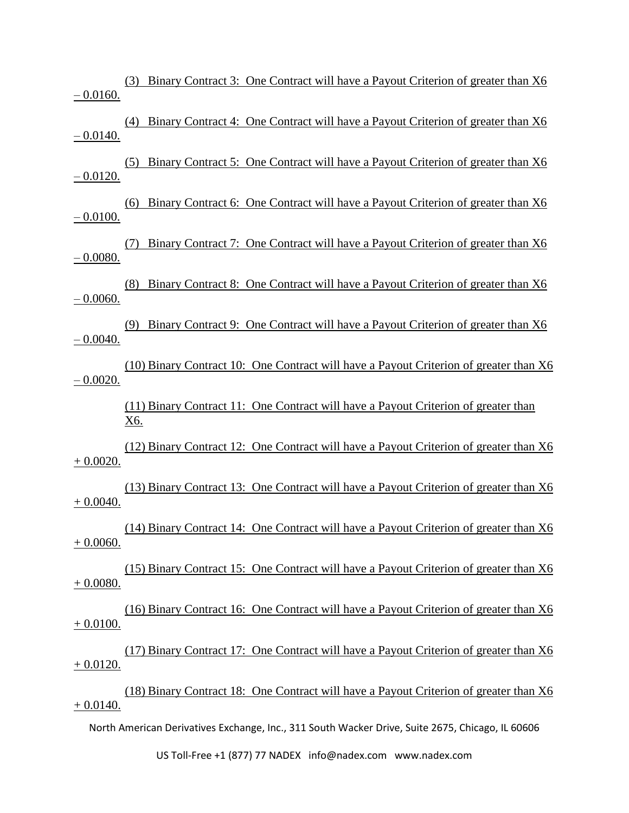(3) Binary Contract 3: One Contract will have a Payout Criterion of greater than X6  $-0.0160.$ 

(4) Binary Contract 4: One Contract will have a Payout Criterion of greater than X6  $-0.0140.$ 

(5) Binary Contract 5: One Contract will have a Payout Criterion of greater than X6  $-0.0120$ .

(6) Binary Contract 6: One Contract will have a Payout Criterion of greater than X6  $-0.0100.$ 

(7) Binary Contract 7: One Contract will have a Payout Criterion of greater than X6  $-0.0080.$ 

(8) Binary Contract 8: One Contract will have a Payout Criterion of greater than X6 – 0.0060.

(9) Binary Contract 9: One Contract will have a Payout Criterion of greater than X6 – 0.0040.

(10) Binary Contract 10: One Contract will have a Payout Criterion of greater than X6  $-0.0020.$ 

> (11) Binary Contract 11: One Contract will have a Payout Criterion of greater than X6.

(12) Binary Contract 12: One Contract will have a Payout Criterion of greater than X6  $+ 0.0020.$ 

(13) Binary Contract 13: One Contract will have a Payout Criterion of greater than X6 + 0.0040.

(14) Binary Contract 14: One Contract will have a Payout Criterion of greater than X6 + 0.0060.

(15) Binary Contract 15: One Contract will have a Payout Criterion of greater than X6 + 0.0080.

(16) Binary Contract 16: One Contract will have a Payout Criterion of greater than X6  $+ 0.0100.$ 

(17) Binary Contract 17: One Contract will have a Payout Criterion of greater than X6 + 0.0120.

(18) Binary Contract 18: One Contract will have a Payout Criterion of greater than X6  $+ 0.0140.$ 

North American Derivatives Exchange, Inc., 311 South Wacker Drive, Suite 2675, Chicago, IL 60606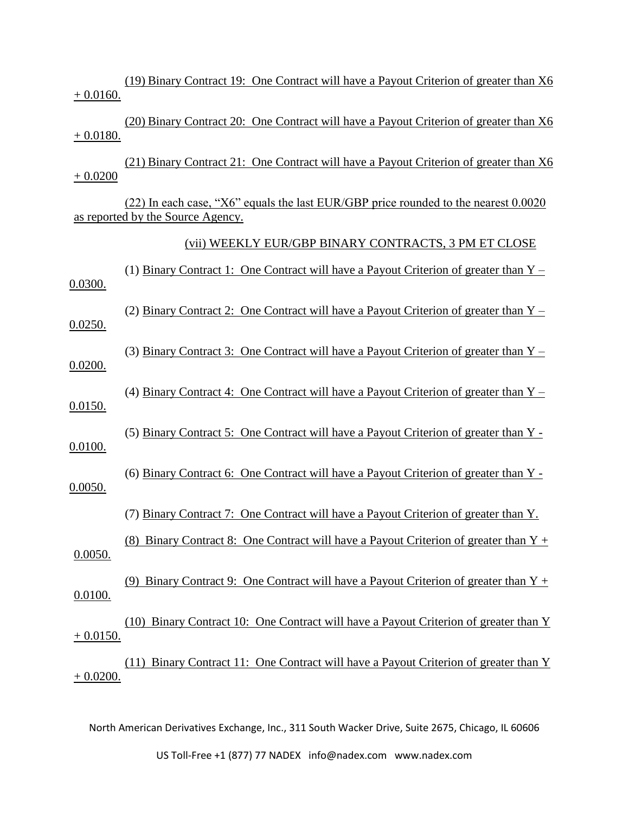(19) Binary Contract 19: One Contract will have a Payout Criterion of greater than X6  $+ 0.0160.$ 

(20) Binary Contract 20: One Contract will have a Payout Criterion of greater than X6 + 0.0180.

(21) Binary Contract 21: One Contract will have a Payout Criterion of greater than X6  $+ 0.0200$ 

(22) In each case, "X6" equals the last EUR/GBP price rounded to the nearest 0.0020 as reported by the Source Agency.

(vii) WEEKLY EUR/GBP BINARY CONTRACTS, 3 PM ET CLOSE

(1) Binary Contract 1: One Contract will have a Payout Criterion of greater than  $Y -$ 0.0300. (2) Binary Contract 2: One Contract will have a Payout Criterion of greater than Y – 0.0250. (3) Binary Contract 3: One Contract will have a Payout Criterion of greater than Y – 0.0200. (4) Binary Contract 4: One Contract will have a Payout Criterion of greater than Y – 0.0150. (5) Binary Contract 5: One Contract will have a Payout Criterion of greater than Y - 0.0100. (6) Binary Contract 6: One Contract will have a Payout Criterion of greater than Y - 0.0050. (7) Binary Contract 7: One Contract will have a Payout Criterion of greater than Y. (8) Binary Contract 8: One Contract will have a Payout Criterion of greater than  $Y +$ 0.0050. (9) Binary Contract 9: One Contract will have a Payout Criterion of greater than  $Y +$ 0.0100. (10) Binary Contract 10: One Contract will have a Payout Criterion of greater than Y  $+ 0.0150.$ (11) Binary Contract 11: One Contract will have a Payout Criterion of greater than Y + 0.0200.

North American Derivatives Exchange, Inc., 311 South Wacker Drive, Suite 2675, Chicago, IL 60606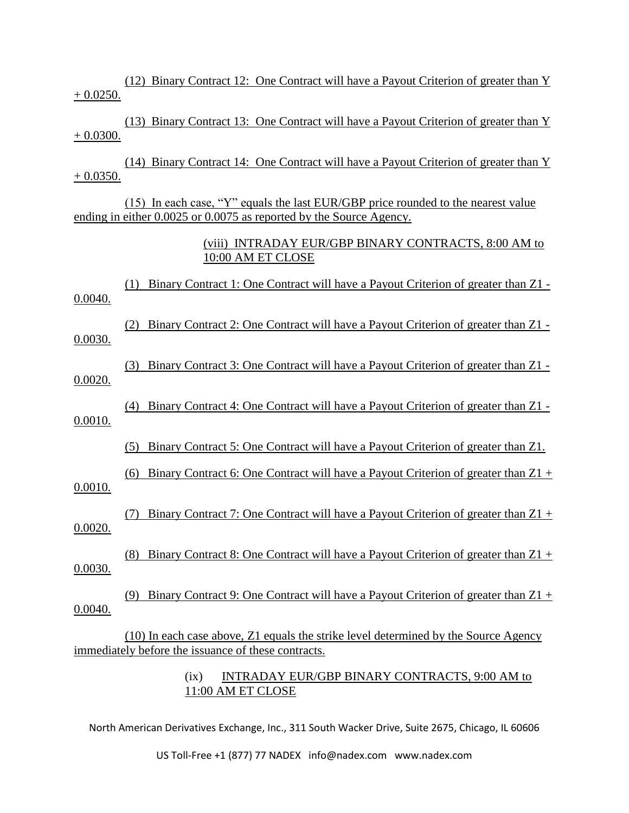(12) Binary Contract 12: One Contract will have a Payout Criterion of greater than Y  $+ 0.0250.$ 

(13) Binary Contract 13: One Contract will have a Payout Criterion of greater than Y + 0.0300.

(14) Binary Contract 14: One Contract will have a Payout Criterion of greater than Y  $+ 0.0350.$ 

(15) In each case, "Y" equals the last EUR/GBP price rounded to the nearest value ending in either 0.0025 or 0.0075 as reported by the Source Agency.

> (viii) INTRADAY EUR/GBP BINARY CONTRACTS, 8:00 AM to 10:00 AM ET CLOSE

(1) Binary Contract 1: One Contract will have a Payout Criterion of greater than Z1 - 0.0040.

(2) Binary Contract 2: One Contract will have a Payout Criterion of greater than Z1 -

0.0030.

(3) Binary Contract 3: One Contract will have a Payout Criterion of greater than Z1 - 0.0020.

(4) Binary Contract 4: One Contract will have a Payout Criterion of greater than Z1 - 0.0010.

(5) Binary Contract 5: One Contract will have a Payout Criterion of greater than Z1.

(6) Binary Contract 6: One Contract will have a Payout Criterion of greater than  $Z1 +$ 0.0010.

(7) Binary Contract 7: One Contract will have a Payout Criterion of greater than  $Z1 +$ 0.0020.

(8) Binary Contract 8: One Contract will have a Payout Criterion of greater than Z1 + 0.0030.

(9) Binary Contract 9: One Contract will have a Payout Criterion of greater than Z1 + 0.0040.

(10) In each case above, Z1 equals the strike level determined by the Source Agency immediately before the issuance of these contracts.

### (ix) INTRADAY EUR/GBP BINARY CONTRACTS, 9:00 AM to 11:00 AM ET CLOSE

North American Derivatives Exchange, Inc., 311 South Wacker Drive, Suite 2675, Chicago, IL 60606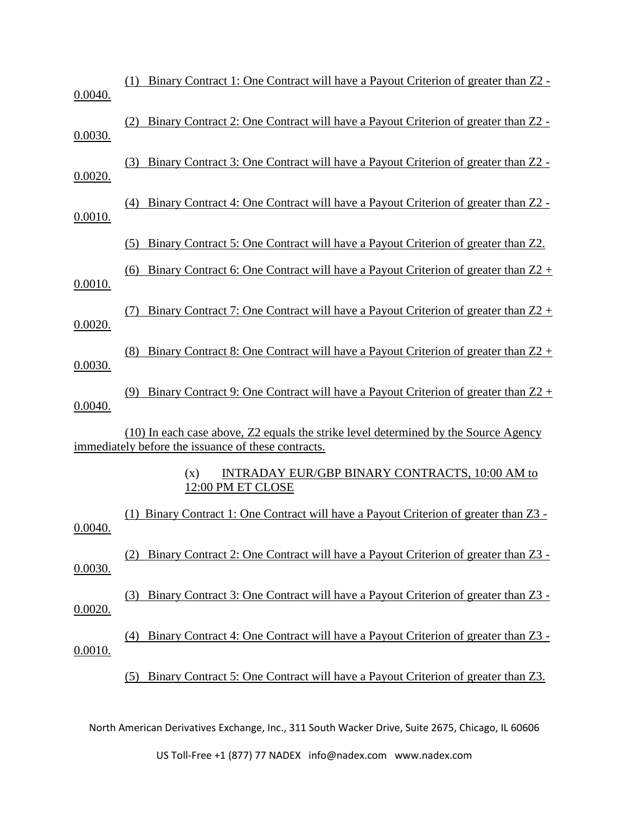| 0.0040. | Binary Contract 1: One Contract will have a Payout Criterion of greater than Z2 -<br>(1)                                                   |
|---------|--------------------------------------------------------------------------------------------------------------------------------------------|
| 0.0030. | Binary Contract 2: One Contract will have a Payout Criterion of greater than Z2 -                                                          |
| 0.0020. | Binary Contract 3: One Contract will have a Payout Criterion of greater than Z2 -<br>(3)                                                   |
| 0.0010. | Binary Contract 4: One Contract will have a Payout Criterion of greater than Z2 -<br>(4)                                                   |
|         | Binary Contract 5: One Contract will have a Payout Criterion of greater than Z2.<br>(5)                                                    |
| 0.0010. | Binary Contract 6: One Contract will have a Payout Criterion of greater than $Z2$ +<br>(6)                                                 |
| 0.0020. | Binary Contract 7: One Contract will have a Payout Criterion of greater than $Z2 +$                                                        |
| 0.0030. | Binary Contract 8: One Contract will have a Payout Criterion of greater than Z2 +<br>(8)                                                   |
| 0.0040. | Binary Contract 9: One Contract will have a Payout Criterion of greater than $Z2 +$<br>(9)                                                 |
|         | (10) In each case above, Z2 equals the strike level determined by the Source Agency<br>immediately before the issuance of these contracts. |
|         | INTRADAY EUR/GBP BINARY CONTRACTS, 10:00 AM to<br>(x)<br>12:00 PM ET CLOSE                                                                 |
| 0.0040. | Binary Contract 1: One Contract will have a Payout Criterion of greater than Z3 -                                                          |
| 0.0030. | Binary Contract 2: One Contract will have a Payout Criterion of greater than Z3 -                                                          |
| 0.0020. | Binary Contract 3: One Contract will have a Payout Criterion of greater than Z3 -<br>(3)                                                   |
| 0.0010. | Binary Contract 4: One Contract will have a Payout Criterion of greater than Z3 -<br>(4)                                                   |
|         | Binary Contract 5: One Contract will have a Payout Criterion of greater than Z3.                                                           |
|         |                                                                                                                                            |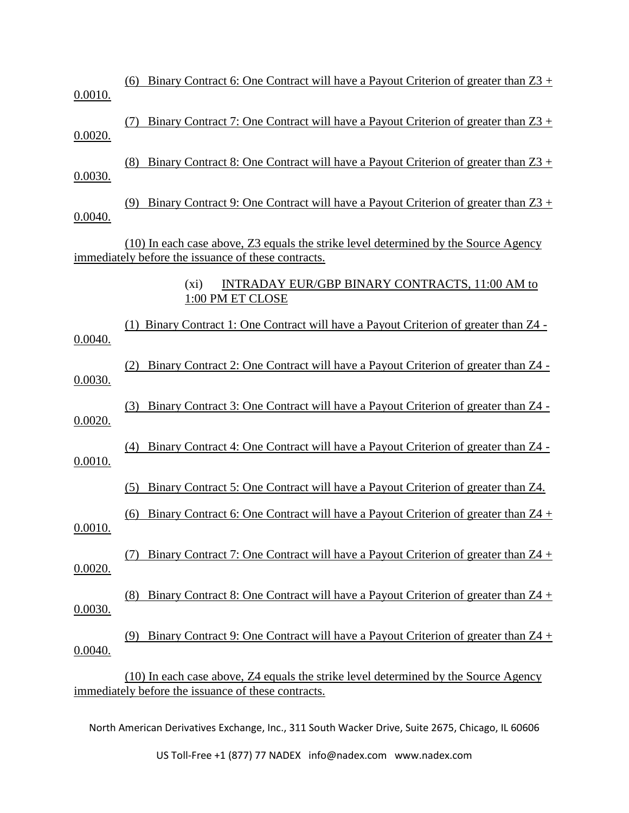| 0.0010. | Binary Contract 6: One Contract will have a Payout Criterion of greater than $Z3 +$<br>(6)                                                 |
|---------|--------------------------------------------------------------------------------------------------------------------------------------------|
| 0.0020. | Binary Contract 7: One Contract will have a Payout Criterion of greater than $Z3$ +<br>(7)                                                 |
| 0.0030. | Binary Contract 8: One Contract will have a Payout Criterion of greater than $Z3$ +<br>(8)                                                 |
| 0.0040. | Binary Contract 9: One Contract will have a Payout Criterion of greater than $Z3$ +<br>(9)                                                 |
|         | (10) In each case above, Z3 equals the strike level determined by the Source Agency<br>immediately before the issuance of these contracts. |
|         | <b>INTRADAY EUR/GBP BINARY CONTRACTS, 11:00 AM to</b><br>$(x_i)$<br>1:00 PM ET CLOSE                                                       |
| 0.0040. | Binary Contract 1: One Contract will have a Payout Criterion of greater than Z4 -<br>(1)                                                   |
| 0.0030. | Binary Contract 2: One Contract will have a Payout Criterion of greater than Z4 -<br>(2)                                                   |
| 0.0020. | Binary Contract 3: One Contract will have a Payout Criterion of greater than Z4 -<br>(3)                                                   |
| 0.0010. | Binary Contract 4: One Contract will have a Payout Criterion of greater than Z4 -<br>(4)                                                   |
|         | Binary Contract 5: One Contract will have a Payout Criterion of greater than Z4.<br>(5)                                                    |
| 0.0010. | Binary Contract 6: One Contract will have a Payout Criterion of greater than $Z4$ +<br>(6)                                                 |
| 0.0020. | Binary Contract 7: One Contract will have a Payout Criterion of greater than Z4 +<br>(7)                                                   |
| 0.0030. | Binary Contract 8: One Contract will have a Payout Criterion of greater than $Z4$ +<br>(8)                                                 |
| 0.0040. | Binary Contract 9: One Contract will have a Payout Criterion of greater than $Z4 +$<br>(9)                                                 |
|         | (10) In each case above, Z4 equals the strike level determined by the Source Agency<br>immediately before the issuance of these contracts. |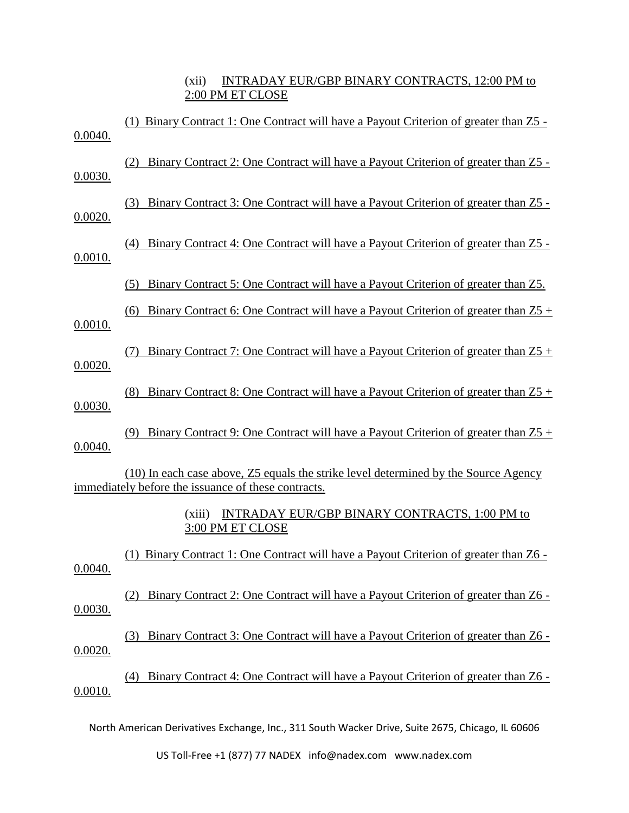(xii) INTRADAY EUR/GBP BINARY CONTRACTS, 12:00 PM to 2:00 PM ET CLOSE

| 0.0040. | Binary Contract 1: One Contract will have a Payout Criterion of greater than Z5 -<br>(1)                                                   |
|---------|--------------------------------------------------------------------------------------------------------------------------------------------|
| 0.0030. | Binary Contract 2: One Contract will have a Payout Criterion of greater than Z5 -                                                          |
| 0.0020. | Binary Contract 3: One Contract will have a Payout Criterion of greater than Z5 -<br>(3)                                                   |
| 0.0010. | Binary Contract 4: One Contract will have a Payout Criterion of greater than Z5 -<br>(4)                                                   |
|         | Binary Contract 5: One Contract will have a Payout Criterion of greater than Z5.<br>(5)                                                    |
| 0.0010. | Binary Contract 6: One Contract will have a Payout Criterion of greater than $Z5 +$<br>(6)                                                 |
| 0.0020. | Binary Contract 7: One Contract will have a Payout Criterion of greater than $25 +$<br>(7)                                                 |
| 0.0030. | Binary Contract 8: One Contract will have a Payout Criterion of greater than $25 +$<br>(8)                                                 |
| 0.0040. | Binary Contract 9: One Contract will have a Payout Criterion of greater than $Z5 +$<br>(9)                                                 |
|         | (10) In each case above, Z5 equals the strike level determined by the Source Agency<br>immediately before the issuance of these contracts. |
|         | <b>INTRADAY EUR/GBP BINARY CONTRACTS, 1:00 PM to</b><br>(xiii)<br>3:00 PM ET CLOSE                                                         |
| 0.0040. | Binary Contract 1: One Contract will have a Payout Criterion of greater than Z6 -<br>(1)                                                   |
| 0.0030. | Binary Contract 2: One Contract will have a Payout Criterion of greater than Z6 -                                                          |
| 0.0020. | Binary Contract 3: One Contract will have a Payout Criterion of greater than Z6 -<br>(3)                                                   |
| 0.0010. | Binary Contract 4: One Contract will have a Payout Criterion of greater than Z6 -<br>(4)                                                   |
|         |                                                                                                                                            |

North American Derivatives Exchange, Inc., 311 South Wacker Drive, Suite 2675, Chicago, IL 60606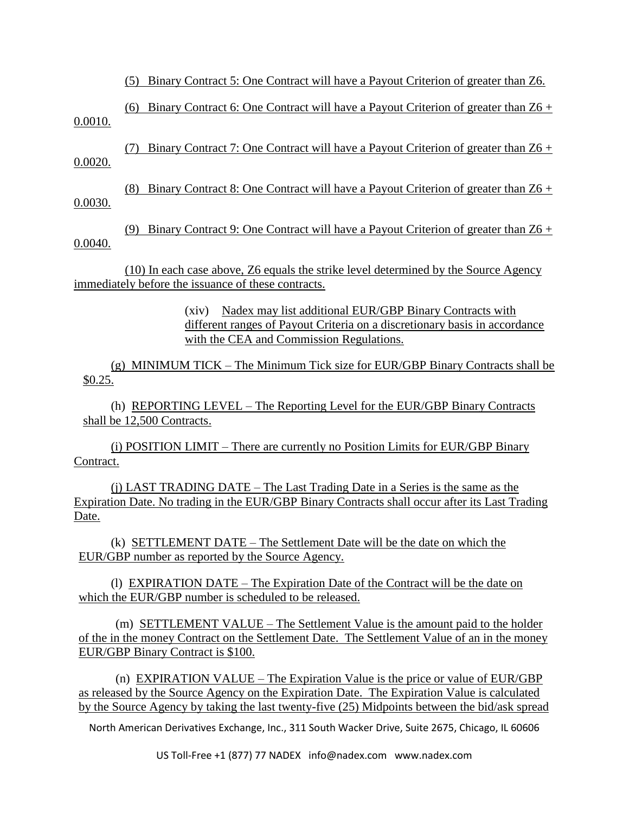(5) Binary Contract 5: One Contract will have a Payout Criterion of greater than Z6.

(6) Binary Contract 6: One Contract will have a Payout Criterion of greater than Z6 + 0.0010.

(7) Binary Contract 7: One Contract will have a Payout Criterion of greater than Z6 + 0.0020.

(8) Binary Contract 8: One Contract will have a Payout Criterion of greater than Z6 + 0.0030.

(9) Binary Contract 9: One Contract will have a Payout Criterion of greater than Z6 + 0.0040.

(10) In each case above, Z6 equals the strike level determined by the Source Agency immediately before the issuance of these contracts.

> (xiv) Nadex may list additional EUR/GBP Binary Contracts with different ranges of Payout Criteria on a discretionary basis in accordance with the CEA and Commission Regulations.

(g) MINIMUM TICK – The Minimum Tick size for EUR/GBP Binary Contracts shall be \$0.25.

(h) REPORTING LEVEL – The Reporting Level for the EUR/GBP Binary Contracts shall be 12,500 Contracts.

(i) POSITION LIMIT – There are currently no Position Limits for EUR/GBP Binary Contract.

(j) LAST TRADING DATE – The Last Trading Date in a Series is the same as the Expiration Date. No trading in the EUR/GBP Binary Contracts shall occur after its Last Trading Date.

(k) SETTLEMENT DATE – The Settlement Date will be the date on which the EUR/GBP number as reported by the Source Agency.

(l) EXPIRATION DATE – The Expiration Date of the Contract will be the date on which the EUR/GBP number is scheduled to be released.

(m) **SETTLEMENT VALUE** – The Settlement Value is the amount paid to the holder of the in the money Contract on the Settlement Date. The Settlement Value of an in the money EUR/GBP Binary Contract is \$100.

(n) EXPIRATION VALUE – The Expiration Value is the price or value of EUR/GBP as released by the Source Agency on the Expiration Date. The Expiration Value is calculated by the Source Agency by taking the last twenty-five (25) Midpoints between the bid/ask spread

North American Derivatives Exchange, Inc., 311 South Wacker Drive, Suite 2675, Chicago, IL 60606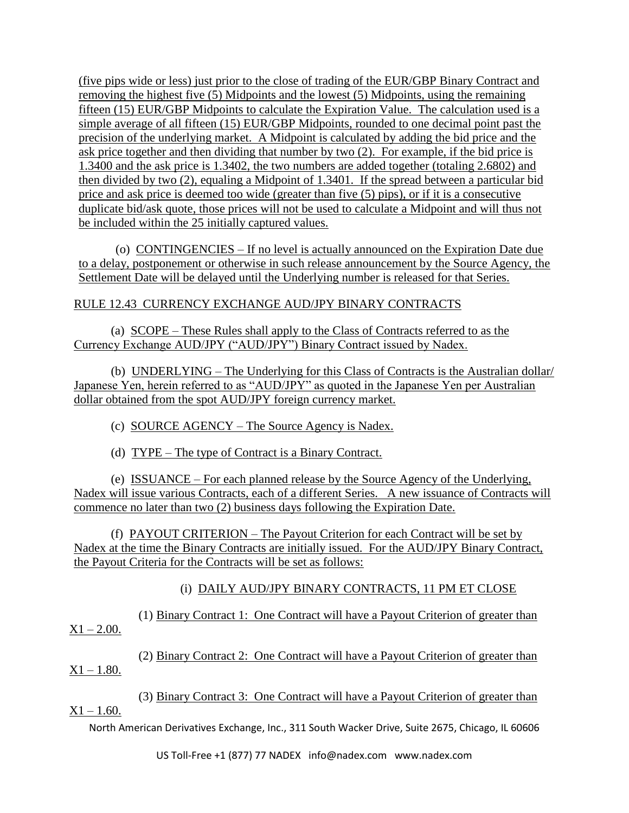(five pips wide or less) just prior to the close of trading of the EUR/GBP Binary Contract and removing the highest five (5) Midpoints and the lowest (5) Midpoints, using the remaining fifteen (15) EUR/GBP Midpoints to calculate the Expiration Value. The calculation used is a simple average of all fifteen (15) EUR/GBP Midpoints, rounded to one decimal point past the precision of the underlying market. A Midpoint is calculated by adding the bid price and the ask price together and then dividing that number by two (2). For example, if the bid price is 1.3400 and the ask price is 1.3402, the two numbers are added together (totaling 2.6802) and then divided by two (2), equaling a Midpoint of 1.3401. If the spread between a particular bid price and ask price is deemed too wide (greater than five (5) pips), or if it is a consecutive duplicate bid/ask quote, those prices will not be used to calculate a Midpoint and will thus not be included within the 25 initially captured values.

(o) CONTINGENCIES – If no level is actually announced on the Expiration Date due to a delay, postponement or otherwise in such release announcement by the Source Agency, the Settlement Date will be delayed until the Underlying number is released for that Series.

## RULE 12.43 CURRENCY EXCHANGE AUD/JPY BINARY CONTRACTS

(a) SCOPE – These Rules shall apply to the Class of Contracts referred to as the Currency Exchange AUD/JPY ("AUD/JPY") Binary Contract issued by Nadex.

(b) UNDERLYING – The Underlying for this Class of Contracts is the Australian dollar/ Japanese Yen, herein referred to as "AUD/JPY" as quoted in the Japanese Yen per Australian dollar obtained from the spot AUD/JPY foreign currency market.

(c) SOURCE AGENCY – The Source Agency is Nadex.

(d) TYPE – The type of Contract is a Binary Contract.

(e) ISSUANCE – For each planned release by the Source Agency of the Underlying, Nadex will issue various Contracts, each of a different Series. A new issuance of Contracts will commence no later than two (2) business days following the Expiration Date.

(f) PAYOUT CRITERION – The Payout Criterion for each Contract will be set by Nadex at the time the Binary Contracts are initially issued. For the AUD/JPY Binary Contract, the Payout Criteria for the Contracts will be set as follows:

# (i) DAILY AUD/JPY BINARY CONTRACTS, 11 PM ET CLOSE

(1) Binary Contract 1: One Contract will have a Payout Criterion of greater than  $X1 - 2.00$ .

(2) Binary Contract 2: One Contract will have a Payout Criterion of greater than  $X1 - 1.80$ .

(3) Binary Contract 3: One Contract will have a Payout Criterion of greater than  $X1 - 1.60$ .

North American Derivatives Exchange, Inc., 311 South Wacker Drive, Suite 2675, Chicago, IL 60606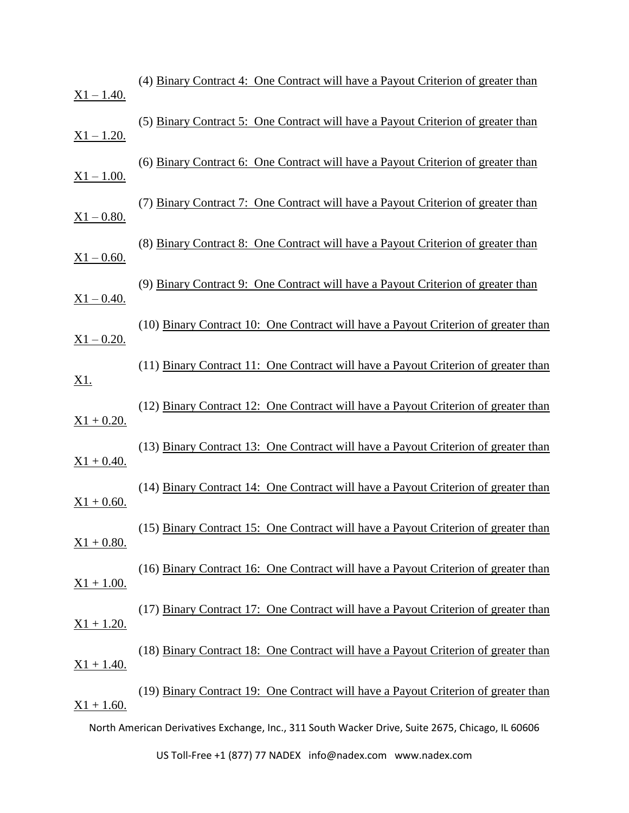| $X1 - 1.40.$  | (4) Binary Contract 4: One Contract will have a Payout Criterion of greater than                 |
|---------------|--------------------------------------------------------------------------------------------------|
| $X1 - 1.20.$  | (5) Binary Contract 5: One Contract will have a Payout Criterion of greater than                 |
| $X1 - 1.00.$  | (6) Binary Contract 6: One Contract will have a Payout Criterion of greater than                 |
| $X1 - 0.80$ . | (7) Binary Contract 7: One Contract will have a Payout Criterion of greater than                 |
| $X1 - 0.60.$  | (8) Binary Contract 8: One Contract will have a Payout Criterion of greater than                 |
| $X1 - 0.40$ . | (9) Binary Contract 9: One Contract will have a Payout Criterion of greater than                 |
| $X1 - 0.20$ . | (10) Binary Contract 10: One Contract will have a Payout Criterion of greater than               |
| <u>X1.</u>    | (11) Binary Contract 11: One Contract will have a Payout Criterion of greater than               |
| $X1 + 0.20$ . | (12) Binary Contract 12: One Contract will have a Payout Criterion of greater than               |
| $X1 + 0.40.$  | (13) Binary Contract 13: One Contract will have a Payout Criterion of greater than               |
| $X1 + 0.60$ . | (14) Binary Contract 14: One Contract will have a Payout Criterion of greater than               |
| $X1 + 0.80$ . | (15) Binary Contract 15: One Contract will have a Payout Criterion of greater than               |
| $X1 + 1.00.$  | (16) Binary Contract 16: One Contract will have a Payout Criterion of greater than               |
| $X1 + 1.20.$  | (17) Binary Contract 17: One Contract will have a Payout Criterion of greater than               |
| $X1 + 1.40.$  | (18) Binary Contract 18: One Contract will have a Payout Criterion of greater than               |
| $X1 + 1.60.$  | (19) Binary Contract 19: One Contract will have a Payout Criterion of greater than               |
|               | North American Derivatives Exchange, Inc., 311 South Wacker Drive, Suite 2675, Chicago, IL 60606 |
|               |                                                                                                  |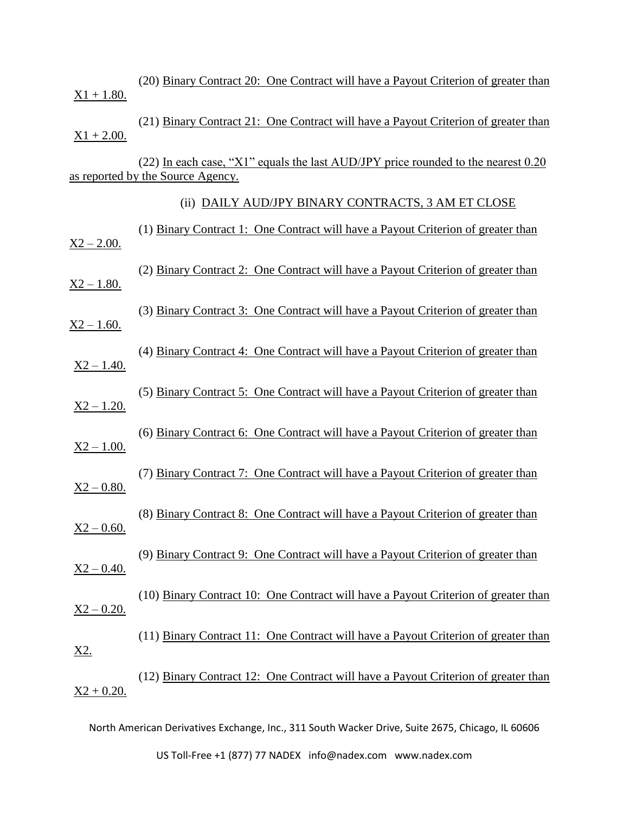| $X1 + 1.80.$  | (20) Binary Contract 20: One Contract will have a Payout Criterion of greater than                                       |
|---------------|--------------------------------------------------------------------------------------------------------------------------|
| $X1 + 2.00.$  | (21) Binary Contract 21: One Contract will have a Payout Criterion of greater than                                       |
|               | $(22)$ In each case, "X1" equals the last AUD/JPY price rounded to the nearest 0.20<br>as reported by the Source Agency. |
|               | (ii) DAILY AUD/JPY BINARY CONTRACTS, 3 AM ET CLOSE                                                                       |
| $X2 - 2.00$ . | (1) Binary Contract 1: One Contract will have a Payout Criterion of greater than                                         |
| $X2 - 1.80.$  | (2) Binary Contract 2: One Contract will have a Payout Criterion of greater than                                         |
| $X2 - 1.60$ . | (3) Binary Contract 3: One Contract will have a Payout Criterion of greater than                                         |
| $X2 - 1.40.$  | (4) Binary Contract 4: One Contract will have a Payout Criterion of greater than                                         |
| $X2 - 1.20.$  | (5) Binary Contract 5: One Contract will have a Payout Criterion of greater than                                         |
| $X2 - 1.00.$  | (6) Binary Contract 6: One Contract will have a Payout Criterion of greater than                                         |
| $X2 - 0.80$ . | (7) Binary Contract 7: One Contract will have a Payout Criterion of greater than                                         |
| $X2 - 0.60$ . | (8) Binary Contract 8: One Contract will have a Payout Criterion of greater than                                         |
| $X2 - 0.40$ . | (9) Binary Contract 9: One Contract will have a Payout Criterion of greater than                                         |
| $X2 - 0.20$ . | (10) Binary Contract 10: One Contract will have a Payout Criterion of greater than                                       |
| <u>X2.</u>    | (11) Binary Contract 11: One Contract will have a Payout Criterion of greater than                                       |
| $X2 + 0.20.$  | (12) Binary Contract 12: One Contract will have a Payout Criterion of greater than                                       |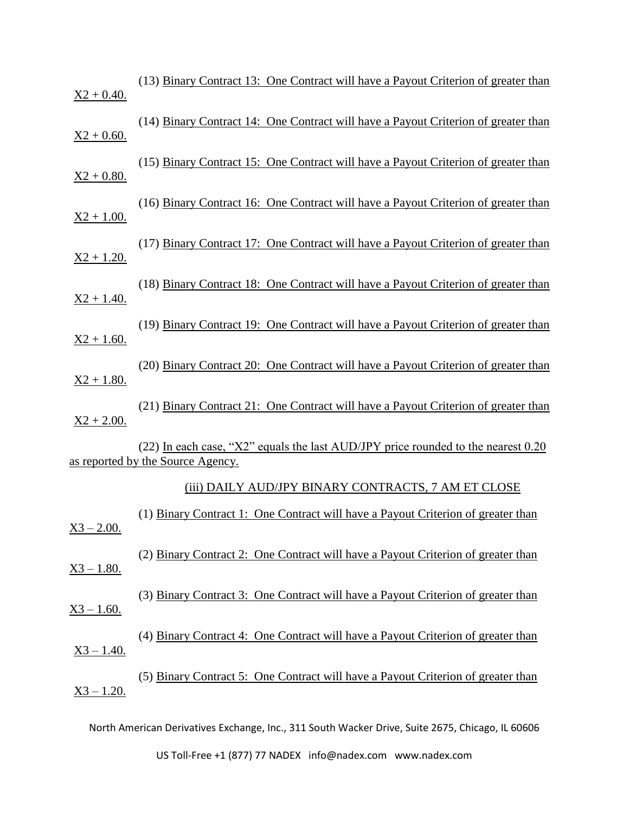| $X2 + 0.40.$  | (13) Binary Contract 13: One Contract will have a Payout Criterion of greater than                                     |
|---------------|------------------------------------------------------------------------------------------------------------------------|
| $X2 + 0.60$ . | (14) Binary Contract 14: One Contract will have a Payout Criterion of greater than                                     |
| $X2 + 0.80$ . | (15) Binary Contract 15: One Contract will have a Payout Criterion of greater than                                     |
| $X2 + 1.00.$  | (16) Binary Contract 16: One Contract will have a Payout Criterion of greater than                                     |
| $X2 + 1.20.$  | (17) Binary Contract 17: One Contract will have a Payout Criterion of greater than                                     |
| $X2 + 1.40.$  | (18) Binary Contract 18: One Contract will have a Payout Criterion of greater than                                     |
| $X2 + 1.60.$  | (19) Binary Contract 19: One Contract will have a Payout Criterion of greater than                                     |
| $X2 + 1.80.$  | (20) Binary Contract 20: One Contract will have a Payout Criterion of greater than                                     |
| $X2 + 2.00$ . | (21) Binary Contract 21: One Contract will have a Payout Criterion of greater than                                     |
|               | (22) In each case, "X2" equals the last AUD/JPY price rounded to the nearest 0.20<br>as reported by the Source Agency. |
|               | (iii) DAILY AUD/JPY BINARY CONTRACTS, 7 AM ET CLOSE                                                                    |
| $X3 - 2.00$ . | (1) Binary Contract 1: One Contract will have a Payout Criterion of greater than                                       |
| $X3 - 1.80.$  | (2) Binary Contract 2: One Contract will have a Payout Criterion of greater than                                       |
| $X3 - 1.60$ . | (3) Binary Contract 3: One Contract will have a Payout Criterion of greater than                                       |
| $X3 - 1.40.$  | (4) Binary Contract 4: One Contract will have a Payout Criterion of greater than                                       |
| $X3 - 1.20.$  | (5) Binary Contract 5: One Contract will have a Payout Criterion of greater than                                       |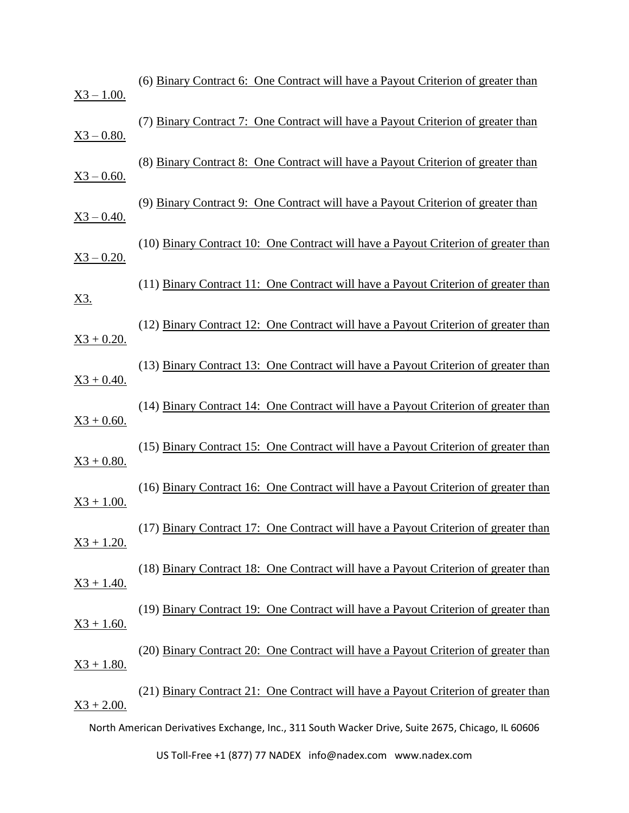| $X3 - 1.00$ . | (6) Binary Contract 6: One Contract will have a Payout Criterion of greater than                 |
|---------------|--------------------------------------------------------------------------------------------------|
| $X3 - 0.80$ . | (7) Binary Contract 7: One Contract will have a Payout Criterion of greater than                 |
| $X3 - 0.60$ . | (8) Binary Contract 8: One Contract will have a Payout Criterion of greater than                 |
| $X3 - 0.40$ . | (9) Binary Contract 9: One Contract will have a Payout Criterion of greater than                 |
| $X3 - 0.20$ . | (10) Binary Contract 10: One Contract will have a Payout Criterion of greater than               |
| <u>X3.</u>    | (11) Binary Contract 11: One Contract will have a Payout Criterion of greater than               |
| $X3 + 0.20$ . | (12) Binary Contract 12: One Contract will have a Payout Criterion of greater than               |
| $X3 + 0.40.$  | (13) Binary Contract 13: One Contract will have a Payout Criterion of greater than               |
| $X3 + 0.60$ . | (14) Binary Contract 14: One Contract will have a Payout Criterion of greater than               |
| $X3 + 0.80$ . | (15) Binary Contract 15: One Contract will have a Payout Criterion of greater than               |
| $X3 + 1.00.$  | (16) Binary Contract 16: One Contract will have a Payout Criterion of greater than               |
| $X3 + 1.20.$  | (17) Binary Contract 17: One Contract will have a Payout Criterion of greater than               |
| $X3 + 1.40.$  | (18) Binary Contract 18: One Contract will have a Payout Criterion of greater than               |
| $X3 + 1.60.$  | (19) Binary Contract 19: One Contract will have a Payout Criterion of greater than               |
|               | (20) Binary Contract 20: One Contract will have a Payout Criterion of greater than               |
| $X3 + 1.80.$  | (21) Binary Contract 21: One Contract will have a Payout Criterion of greater than               |
| $X3 + 2.00$ . |                                                                                                  |
|               | North American Derivatives Exchange, Inc., 311 South Wacker Drive, Suite 2675, Chicago, IL 60606 |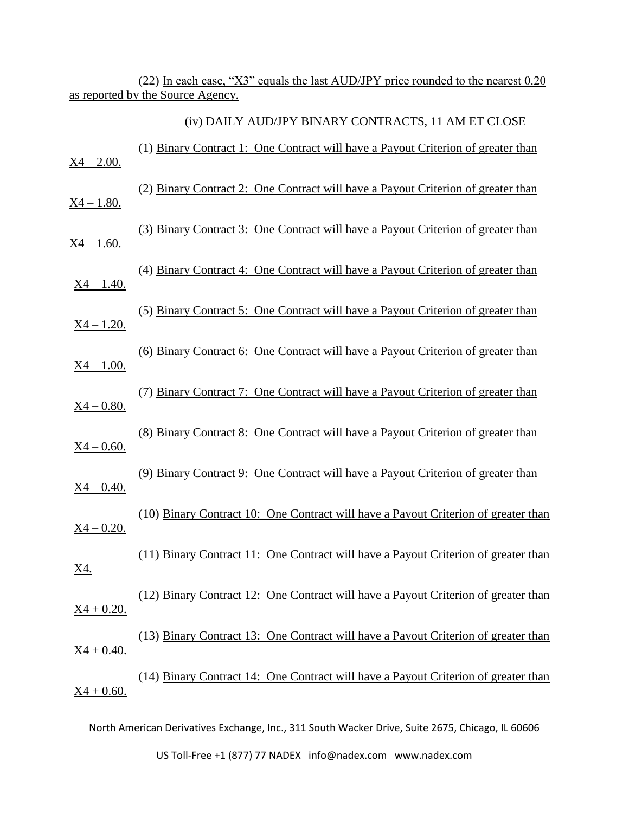(22) In each case, "X3" equals the last AUD/JPY price rounded to the nearest 0.20 as reported by the Source Agency.

(iv) DAILY AUD/JPY BINARY CONTRACTS, 11 AM ET CLOSE

| $X4 - 2.00$ .                | (1) Binary Contract 1: One Contract will have a Payout Criterion of greater than   |
|------------------------------|------------------------------------------------------------------------------------|
| <u>X4 – 1.80.</u>            | (2) Binary Contract 2: One Contract will have a Payout Criterion of greater than   |
| <u>X4 – 1.60.</u>            | (3) Binary Contract 3: One Contract will have a Payout Criterion of greater than   |
| $X4 - 1.40.$                 | (4) Binary Contract 4: One Contract will have a Payout Criterion of greater than   |
| $X4 - 1.20.$                 | (5) Binary Contract 5: One Contract will have a Payout Criterion of greater than   |
| $X4 - 1.00$ .                | (6) Binary Contract 6: One Contract will have a Payout Criterion of greater than   |
| $X4 - 0.80.$                 | (7) Binary Contract 7: One Contract will have a Payout Criterion of greater than   |
| $X4 - 0.60$ .                | (8) Binary Contract 8: One Contract will have a Payout Criterion of greater than   |
| $X4 - 0.40.$                 | (9) Binary Contract 9: One Contract will have a Payout Criterion of greater than   |
| $X4 - 0.20$ .                | (10) Binary Contract 10: One Contract will have a Payout Criterion of greater than |
| <u>X4.</u>                   | (11) Binary Contract 11: One Contract will have a Payout Criterion of greater than |
| $X4 + 0.20.$                 | (12) Binary Contract 12: One Contract will have a Payout Criterion of greater than |
|                              | (13) Binary Contract 13: One Contract will have a Payout Criterion of greater than |
| $X4 + 0.40.$<br>$X4 + 0.60.$ | (14) Binary Contract 14: One Contract will have a Payout Criterion of greater than |
|                              |                                                                                    |

North American Derivatives Exchange, Inc., 311 South Wacker Drive, Suite 2675, Chicago, IL 60606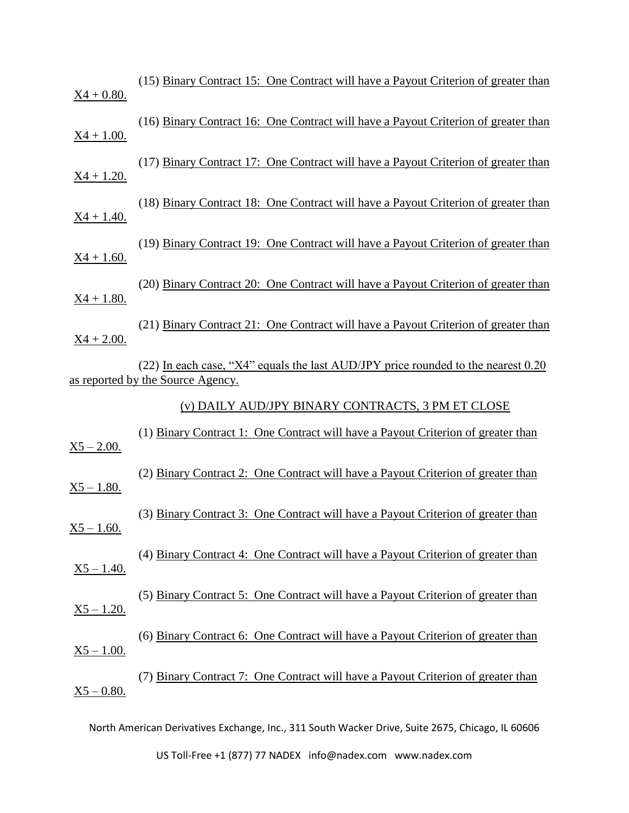| $X4 + 0.80.$                  | (15) Binary Contract 15: One Contract will have a Payout Criterion of greater than                                     |
|-------------------------------|------------------------------------------------------------------------------------------------------------------------|
| $X4 + 1.00.$                  | (16) Binary Contract 16: One Contract will have a Payout Criterion of greater than                                     |
| $X4 + 1.20.$                  | (17) Binary Contract 17: One Contract will have a Payout Criterion of greater than                                     |
| $X4 + 1.40.$                  | (18) Binary Contract 18: One Contract will have a Payout Criterion of greater than                                     |
| $X4 + 1.60.$                  | (19) Binary Contract 19: One Contract will have a Payout Criterion of greater than                                     |
| $X4 + 1.80.$                  | (20) Binary Contract 20: One Contract will have a Payout Criterion of greater than                                     |
| $X4 + 2.00$ .                 | (21) Binary Contract 21: One Contract will have a Payout Criterion of greater than                                     |
|                               | (22) In each case, "X4" equals the last AUD/JPY price rounded to the nearest 0.20<br>as reported by the Source Agency. |
|                               |                                                                                                                        |
|                               | (v) DAILY AUD/JPY BINARY CONTRACTS, 3 PM ET CLOSE                                                                      |
| $X5 - 2.00$ .                 | (1) Binary Contract 1: One Contract will have a Payout Criterion of greater than                                       |
| $X5 - 1.80.$                  | (2) Binary Contract 2: One Contract will have a Payout Criterion of greater than                                       |
| $X5 - 1.60$ .                 | (3) Binary Contract 3: One Contract will have a Payout Criterion of greater than                                       |
| $X5 - 1.40.$                  | (4) Binary Contract 4: One Contract will have a Payout Criterion of greater than                                       |
|                               | (5) Binary Contract 5: One Contract will have a Payout Criterion of greater than                                       |
| $X5 - 1.20.$                  | (6) Binary Contract 6: One Contract will have a Payout Criterion of greater than                                       |
| $X5 - 1.00$ .<br>$X5 - 0.80.$ | (7) Binary Contract 7: One Contract will have a Payout Criterion of greater than                                       |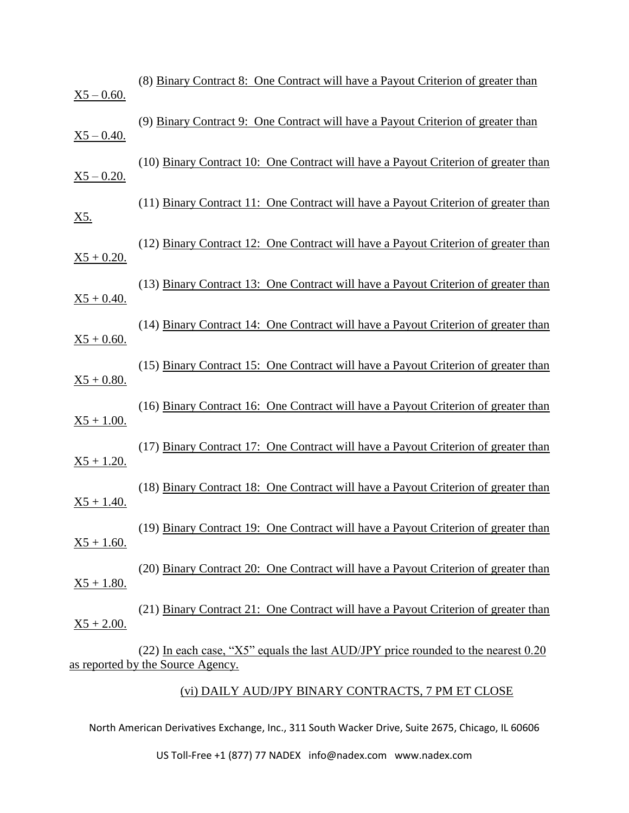| $X5 - 0.60$ . | (8) Binary Contract 8: One Contract will have a Payout Criterion of greater than                                       |
|---------------|------------------------------------------------------------------------------------------------------------------------|
| $X5 - 0.40$ . | (9) Binary Contract 9: One Contract will have a Payout Criterion of greater than                                       |
| $X5 - 0.20$ . | (10) Binary Contract 10: One Contract will have a Payout Criterion of greater than                                     |
| <u>X5.</u>    | (11) Binary Contract 11: One Contract will have a Payout Criterion of greater than                                     |
| $X5 + 0.20$ . | (12) Binary Contract 12: One Contract will have a Payout Criterion of greater than                                     |
| $X5 + 0.40.$  | (13) Binary Contract 13: One Contract will have a Payout Criterion of greater than                                     |
| $X5 + 0.60$ . | (14) Binary Contract 14: One Contract will have a Payout Criterion of greater than                                     |
| $X5 + 0.80.$  | (15) Binary Contract 15: One Contract will have a Payout Criterion of greater than                                     |
| $X5 + 1.00.$  | (16) Binary Contract 16: One Contract will have a Payout Criterion of greater than                                     |
| $X5 + 1.20.$  | (17) Binary Contract 17: One Contract will have a Payout Criterion of greater than                                     |
| $X5 + 1.40.$  | (18) Binary Contract 18: One Contract will have a Payout Criterion of greater than                                     |
| $X5 + 1.60$ . | (19) Binary Contract 19: One Contract will have a Payout Criterion of greater than                                     |
| $X5 + 1.80.$  | (20) Binary Contract 20: One Contract will have a Payout Criterion of greater than                                     |
| $X5 + 2.00$ . | (21) Binary Contract 21: One Contract will have a Payout Criterion of greater than                                     |
|               | (22) In each case, "X5" equals the last AUD/JPY price rounded to the nearest 0.20<br>as reported by the Source Agency. |

## (vi) DAILY AUD/JPY BINARY CONTRACTS, 7 PM ET CLOSE

North American Derivatives Exchange, Inc., 311 South Wacker Drive, Suite 2675, Chicago, IL 60606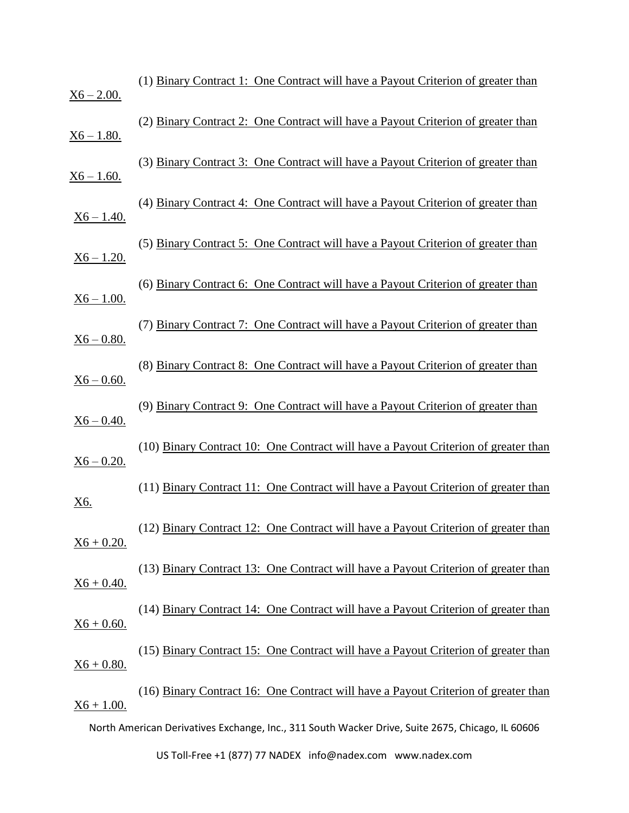| $X6 - 2.00.$      | (1) Binary Contract 1: One Contract will have a Payout Criterion of greater than                 |
|-------------------|--------------------------------------------------------------------------------------------------|
| <u>X6 – 1.80.</u> | (2) Binary Contract 2: One Contract will have a Payout Criterion of greater than                 |
| $X6 - 1.60.$      | (3) Binary Contract 3: One Contract will have a Payout Criterion of greater than                 |
| $X6 - 1.40.$      | (4) Binary Contract 4: One Contract will have a Payout Criterion of greater than                 |
| $X6 - 1.20.$      | (5) Binary Contract 5: One Contract will have a Payout Criterion of greater than                 |
| $X6 - 1.00.$      | (6) Binary Contract 6: One Contract will have a Payout Criterion of greater than                 |
| $X6 - 0.80.$      | (7) Binary Contract 7: One Contract will have a Payout Criterion of greater than                 |
| $X6 - 0.60$ .     | (8) Binary Contract 8: One Contract will have a Payout Criterion of greater than                 |
| $X6 - 0.40.$      | (9) Binary Contract 9: One Contract will have a Payout Criterion of greater than                 |
| $X6 - 0.20$ .     | (10) Binary Contract 10: One Contract will have a Payout Criterion of greater than               |
| <u>X6.</u>        | (11) Binary Contract 11: One Contract will have a Payout Criterion of greater than               |
| $X6 + 0.20.$      | (12) Binary Contract 12: One Contract will have a Payout Criterion of greater than               |
| $X6 + 0.40.$      | (13) Binary Contract 13: One Contract will have a Payout Criterion of greater than               |
| $X6 + 0.60.$      | (14) Binary Contract 14: One Contract will have a Payout Criterion of greater than               |
| $X6 + 0.80.$      | (15) Binary Contract 15: One Contract will have a Payout Criterion of greater than               |
| $X6 + 1.00.$      | (16) Binary Contract 16: One Contract will have a Payout Criterion of greater than               |
|                   | North American Derivatives Exchange, Inc., 311 South Wacker Drive, Suite 2675, Chicago, IL 60606 |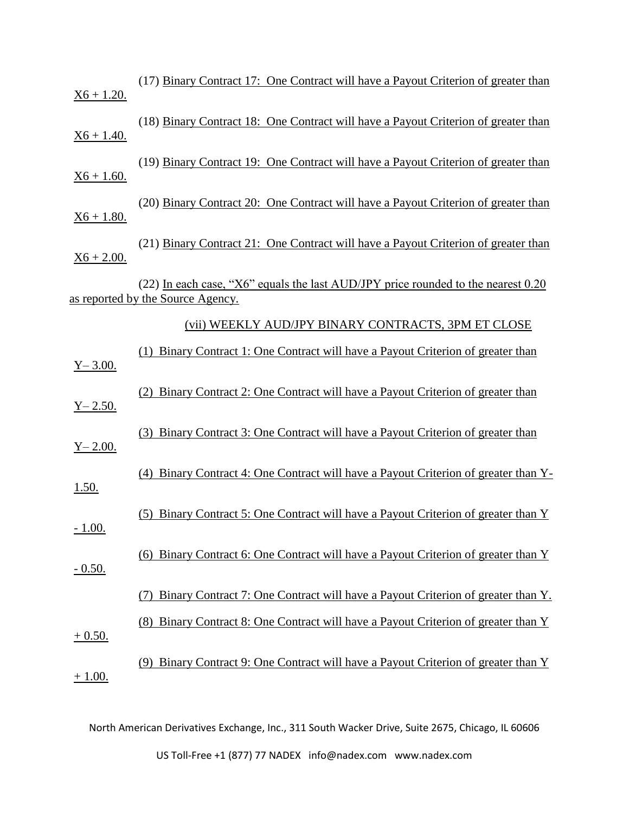| $X6 + 1.20.$   | (17) Binary Contract 17: One Contract will have a Payout Criterion of greater than                                     |
|----------------|------------------------------------------------------------------------------------------------------------------------|
| $X6 + 1.40.$   | (18) Binary Contract 18: One Contract will have a Payout Criterion of greater than                                     |
| $X6 + 1.60.$   | (19) Binary Contract 19: One Contract will have a Payout Criterion of greater than                                     |
| $X6 + 1.80.$   | (20) Binary Contract 20: One Contract will have a Payout Criterion of greater than                                     |
| $X6 + 2.00$ .  | (21) Binary Contract 21: One Contract will have a Payout Criterion of greater than                                     |
|                | (22) In each case, "X6" equals the last AUD/JPY price rounded to the nearest 0.20<br>as reported by the Source Agency. |
|                | (vii) WEEKLY AUD/JPY BINARY CONTRACTS, 3PM ET CLOSE                                                                    |
| $Y - 3.00.$    | Binary Contract 1: One Contract will have a Payout Criterion of greater than<br>(1)                                    |
| $Y - 2.50.$    | Binary Contract 2: One Contract will have a Payout Criterion of greater than<br>(2)                                    |
| $Y - 2.00.$    | (3) Binary Contract 3: One Contract will have a Payout Criterion of greater than                                       |
| 1.50.          | Binary Contract 4: One Contract will have a Payout Criterion of greater than Y-<br>(4)                                 |
| <u>- 1.00.</u> | Binary Contract 5: One Contract will have a Payout Criterion of greater than Y<br>(5)                                  |
| $-0.50.$       | (6) Binary Contract 6: One Contract will have a Payout Criterion of greater than Y                                     |
|                | Binary Contract 7: One Contract will have a Payout Criterion of greater than Y.                                        |
| $+0.50.$       | <u>Binary Contract 8: One Contract will have a Payout Criterion of greater than Y</u><br>(8)                           |
| $+1.00.$       | Binary Contract 9: One Contract will have a Payout Criterion of greater than Y                                         |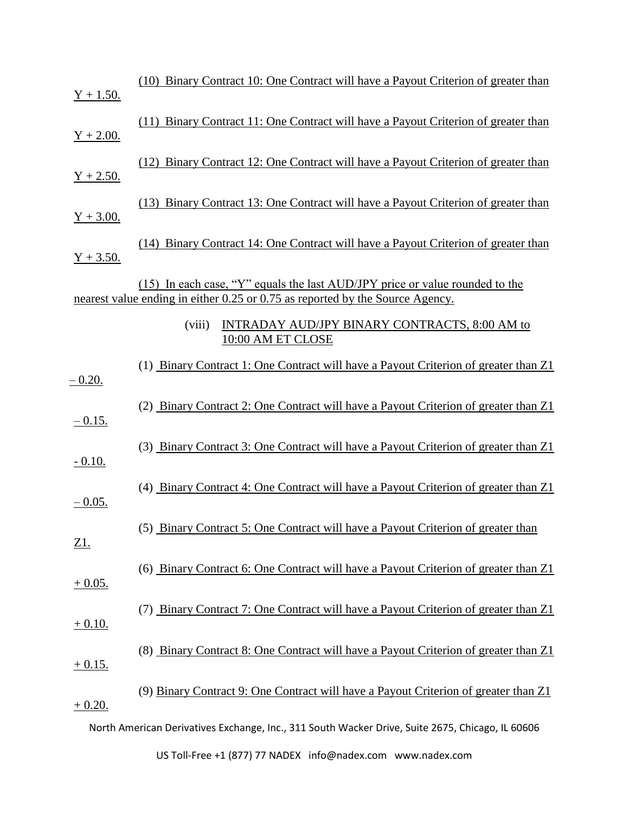| $Y + 1.50.$ | (10) Binary Contract 10: One Contract will have a Payout Criterion of greater than                                                                            |
|-------------|---------------------------------------------------------------------------------------------------------------------------------------------------------------|
| $Y + 2.00.$ | (11) Binary Contract 11: One Contract will have a Payout Criterion of greater than                                                                            |
| $Y + 2.50.$ | (12) Binary Contract 12: One Contract will have a Payout Criterion of greater than                                                                            |
| $Y + 3.00.$ | (13) Binary Contract 13: One Contract will have a Payout Criterion of greater than                                                                            |
| $Y + 3.50.$ | (14) Binary Contract 14: One Contract will have a Payout Criterion of greater than                                                                            |
|             | (15) In each case, "Y" equals the last AUD/JPY price or value rounded to the<br>nearest value ending in either 0.25 or 0.75 as reported by the Source Agency. |
|             | <b>INTRADAY AUD/JPY BINARY CONTRACTS, 8:00 AM to</b><br>(viii)<br>10:00 AM ET CLOSE                                                                           |
| $-0.20.$    | (1) Binary Contract 1: One Contract will have a Payout Criterion of greater than Z1                                                                           |
| $-0.15.$    | (2) Binary Contract 2: One Contract will have a Payout Criterion of greater than Z1                                                                           |
| $-0.10.$    | (3) Binary Contract 3: One Contract will have a Payout Criterion of greater than Z1                                                                           |
| $-0.05$ .   | (4) Binary Contract 4: One Contract will have a Payout Criterion of greater than Z1                                                                           |
| <u>Z1.</u>  | (5) Binary Contract 5: One Contract will have a Payout Criterion of greater than                                                                              |
| $+0.05.$    | (6) Binary Contract 6: One Contract will have a Payout Criterion of greater than Z1                                                                           |
| $+0.10.$    | (7) Binary Contract 7: One Contract will have a Payout Criterion of greater than Z1                                                                           |
| $+0.15.$    | (8) Binary Contract 8: One Contract will have a Payout Criterion of greater than Z1                                                                           |
| $+0.20.$    | (9) Binary Contract 9: One Contract will have a Payout Criterion of greater than Z1                                                                           |
|             | North American Derivatives Exchange, Inc., 311 South Wacker Drive, Suite 2675, Chicago, IL 60606                                                              |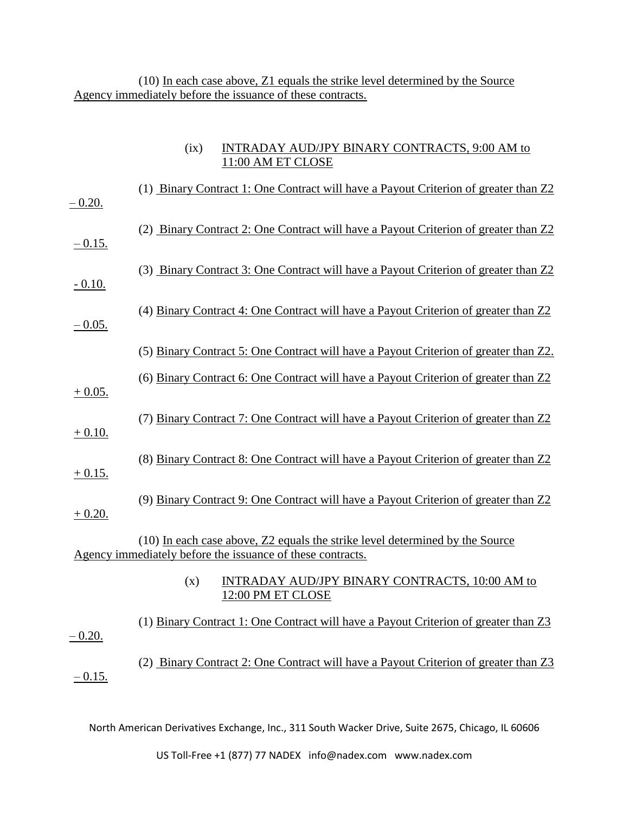(10) In each case above, Z1 equals the strike level determined by the Source Agency immediately before the issuance of these contracts.

| (ix) | INTRADAY AUD/JPY BINARY CONTRACTS, 9:00 AM to |
|------|-----------------------------------------------|
|      | 11:00 AM ET CLOSE                             |

| $-0.20.$  | (1) Binary Contract 1: One Contract will have a Payout Criterion of greater than Z2                                                        |
|-----------|--------------------------------------------------------------------------------------------------------------------------------------------|
| $-0.15.$  | (2) Binary Contract 2: One Contract will have a Payout Criterion of greater than Z2                                                        |
| $-0.10.$  | (3) Binary Contract 3: One Contract will have a Payout Criterion of greater than Z2                                                        |
| $-0.05$ . | (4) Binary Contract 4: One Contract will have a Payout Criterion of greater than Z2                                                        |
|           | (5) Binary Contract 5: One Contract will have a Payout Criterion of greater than Z2.                                                       |
| $+0.05.$  | (6) Binary Contract 6: One Contract will have a Payout Criterion of greater than Z2                                                        |
| $+0.10.$  | (7) Binary Contract 7: One Contract will have a Payout Criterion of greater than Z2                                                        |
| $+0.15.$  | (8) Binary Contract 8: One Contract will have a Payout Criterion of greater than Z2                                                        |
| $+0.20.$  | (9) Binary Contract 9: One Contract will have a Payout Criterion of greater than Z2                                                        |
|           | (10) In each case above, Z2 equals the strike level determined by the Source<br>Agency immediately before the issuance of these contracts. |
|           | INTRADAY AUD/JPY BINARY CONTRACTS, 10:00 AM to<br>(x)<br>12:00 PM ET CLOSE                                                                 |
| $-0.20.$  | (1) Binary Contract 1: One Contract will have a Payout Criterion of greater than Z3                                                        |
| $-0.15.$  | (2) Binary Contract 2: One Contract will have a Payout Criterion of greater than Z3                                                        |

North American Derivatives Exchange, Inc., 311 South Wacker Drive, Suite 2675, Chicago, IL 60606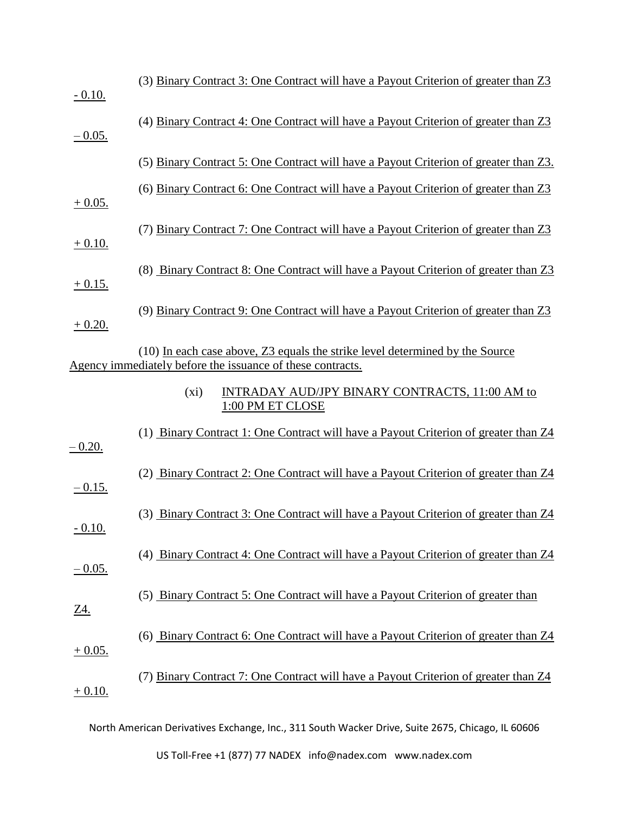| $-0.10.$       | (3) Binary Contract 3: One Contract will have a Payout Criterion of greater than Z3                                                        |
|----------------|--------------------------------------------------------------------------------------------------------------------------------------------|
| $-0.05.$       | (4) Binary Contract 4: One Contract will have a Payout Criterion of greater than Z3                                                        |
|                | (5) Binary Contract 5: One Contract will have a Payout Criterion of greater than Z3.                                                       |
| $+0.05.$       | (6) Binary Contract 6: One Contract will have a Payout Criterion of greater than Z3                                                        |
| $+0.10.$       | (7) Binary Contract 7: One Contract will have a Payout Criterion of greater than Z3                                                        |
| $+0.15.$       | (8) Binary Contract 8: One Contract will have a Payout Criterion of greater than Z3                                                        |
| $+0.20.$       | (9) Binary Contract 9: One Contract will have a Payout Criterion of greater than Z3                                                        |
|                | (10) In each case above, Z3 equals the strike level determined by the Source<br>Agency immediately before the issuance of these contracts. |
|                | INTRADAY AUD/JPY BINARY CONTRACTS, 11:00 AM to<br>$(x_i)$<br>1:00 PM ET CLOSE                                                              |
| $-0.20.$       | (1) Binary Contract 1: One Contract will have a Payout Criterion of greater than Z4                                                        |
| $-0.15.$       | (2) Binary Contract 2: One Contract will have a Payout Criterion of greater than Z4                                                        |
| <u>- 0.10.</u> | (3) Binary Contract 3: One Contract will have a Payout Criterion of greater than Z4                                                        |
| $-0.05.$       | (4) Binary Contract 4: One Contract will have a Payout Criterion of greater than Z4                                                        |
| <u>Z4.</u>     | (5) Binary Contract 5: One Contract will have a Payout Criterion of greater than                                                           |
| $+0.05.$       | (6) Binary Contract 6: One Contract will have a Payout Criterion of greater than Z4                                                        |
| $+0.10.$       | (7) Binary Contract 7: One Contract will have a Payout Criterion of greater than Z4                                                        |
|                |                                                                                                                                            |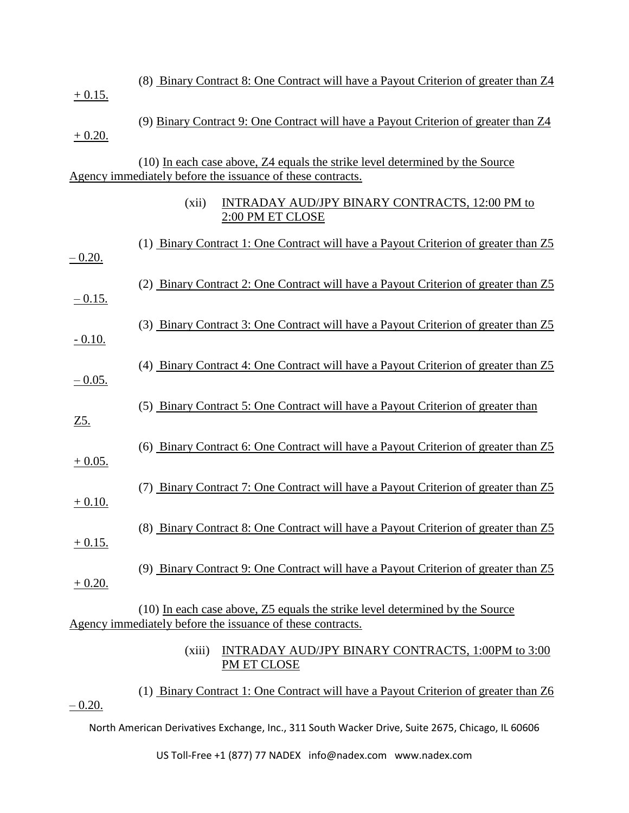|            | (8) Binary Contract 8: One Contract will have a Payout Criterion of greater than Z4                                                        |
|------------|--------------------------------------------------------------------------------------------------------------------------------------------|
| $+0.15.$   |                                                                                                                                            |
| $+0.20.$   | (9) Binary Contract 9: One Contract will have a Payout Criterion of greater than Z4                                                        |
|            | (10) In each case above, Z4 equals the strike level determined by the Source<br>Agency immediately before the issuance of these contracts. |
|            | <b>INTRADAY AUD/JPY BINARY CONTRACTS, 12:00 PM to</b><br>(xii)<br>2:00 PM ET CLOSE                                                         |
| $-0.20.$   | (1) Binary Contract 1: One Contract will have a Payout Criterion of greater than Z5                                                        |
| $-0.15.$   | (2) Binary Contract 2: One Contract will have a Payout Criterion of greater than Z5                                                        |
| $-0.10.$   | (3) Binary Contract 3: One Contract will have a Payout Criterion of greater than Z5                                                        |
| $-0.05$ .  | (4) Binary Contract 4: One Contract will have a Payout Criterion of greater than Z5                                                        |
| <u>Z5.</u> | (5) Binary Contract 5: One Contract will have a Payout Criterion of greater than                                                           |
| $+0.05.$   | (6) Binary Contract 6: One Contract will have a Payout Criterion of greater than Z5                                                        |
| $+0.10.$   | (7) Binary Contract 7: One Contract will have a Payout Criterion of greater than Z5                                                        |
| $+0.15.$   | (8) Binary Contract 8: One Contract will have a Payout Criterion of greater than Z5                                                        |
| $+0.20.$   | (9) Binary Contract 9: One Contract will have a Payout Criterion of greater than Z5                                                        |
|            | (10) In each case above, Z5 equals the strike level determined by the Source<br>Agency immediately before the issuance of these contracts. |
|            | (xiii)<br>INTRADAY AUD/JPY BINARY CONTRACTS, 1:00PM to 3:00<br>PM ET CLOSE                                                                 |

(1) Binary Contract 1: One Contract will have a Payout Criterion of greater than Z6  $-0.20.$ 

North American Derivatives Exchange, Inc., 311 South Wacker Drive, Suite 2675, Chicago, IL 60606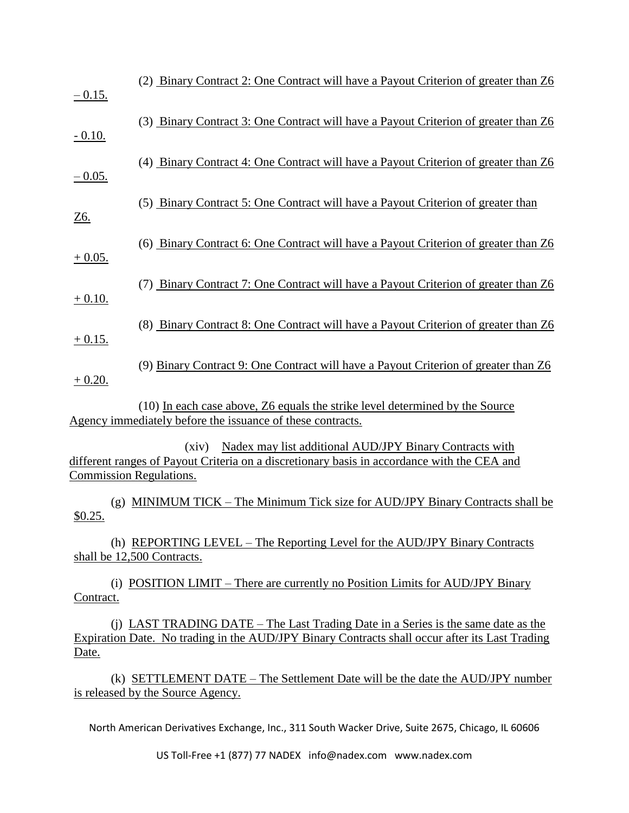| $-0.15.$                                                                                         | (2) Binary Contract 2: One Contract will have a Payout Criterion of greater than Z6                                                                                                               |
|--------------------------------------------------------------------------------------------------|---------------------------------------------------------------------------------------------------------------------------------------------------------------------------------------------------|
| $-0.10.$                                                                                         | (3) Binary Contract 3: One Contract will have a Payout Criterion of greater than Z6                                                                                                               |
| $-0.05.$                                                                                         | (4) Binary Contract 4: One Contract will have a Payout Criterion of greater than Z6                                                                                                               |
| <u>Z6.</u>                                                                                       | (5) Binary Contract 5: One Contract will have a Payout Criterion of greater than                                                                                                                  |
| $+0.05.$                                                                                         | (6) Binary Contract 6: One Contract will have a Payout Criterion of greater than Z6                                                                                                               |
| $+0.10.$                                                                                         | (7) Binary Contract 7: One Contract will have a Payout Criterion of greater than Z6                                                                                                               |
| $+0.15.$                                                                                         | (8) Binary Contract 8: One Contract will have a Payout Criterion of greater than Z6                                                                                                               |
| $+0.20.$                                                                                         | (9) Binary Contract 9: One Contract will have a Payout Criterion of greater than Z6                                                                                                               |
|                                                                                                  | (10) In each case above, Z6 equals the strike level determined by the Source<br>Agency immediately before the issuance of these contracts.                                                        |
|                                                                                                  | Nadex may list additional AUD/JPY Binary Contracts with<br>(xiv)<br>different ranges of Payout Criteria on a discretionary basis in accordance with the CEA and<br><b>Commission Regulations.</b> |
| \$0.25.                                                                                          | (g) MINIMUM TICK – The Minimum Tick size for AUD/JPY Binary Contracts shall be                                                                                                                    |
|                                                                                                  | (h) REPORTING LEVEL – The Reporting Level for the AUD/JPY Binary Contracts<br>shall be 12,500 Contracts.                                                                                          |
| Contract.                                                                                        | (i) POSITION LIMIT – There are currently no Position Limits for AUD/JPY Binary                                                                                                                    |
| Date.                                                                                            | (j) LAST TRADING DATE – The Last Trading Date in a Series is the same date as the<br>Expiration Date. No trading in the AUD/JPY Binary Contracts shall occur after its Last Trading               |
|                                                                                                  | (k) SETTLEMENT DATE – The Settlement Date will be the date the AUD/JPY number<br>is released by the Source Agency.                                                                                |
| North American Derivatives Exchange, Inc., 311 South Wacker Drive, Suite 2675, Chicago, IL 60606 |                                                                                                                                                                                                   |
|                                                                                                  | US Toll-Free +1 (877) 77 NADEX info@nadex.com www.nadex.com                                                                                                                                       |